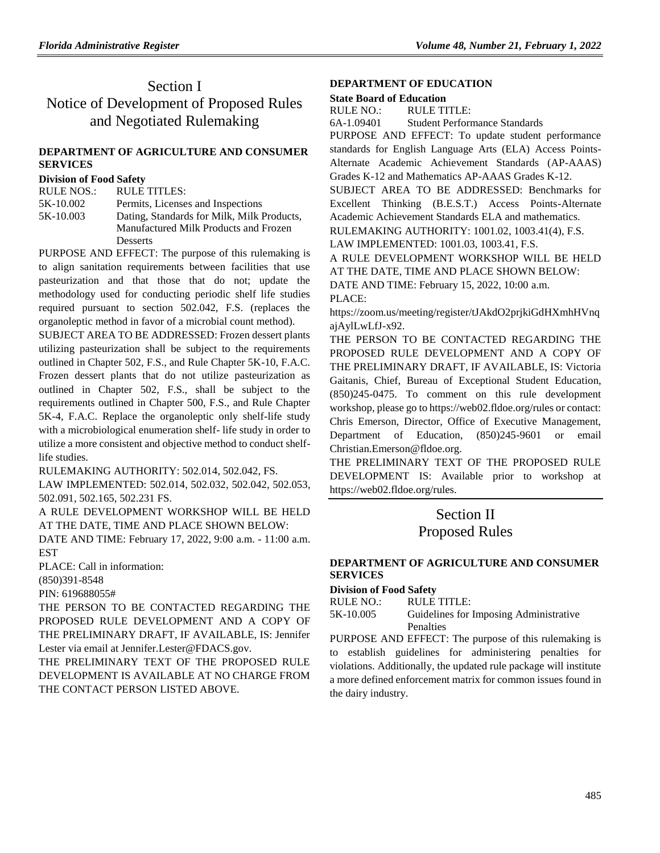# Section I Notice of Development of Proposed Rules and Negotiated Rulemaking

# **[DEPARTMENT OF AGRICULTURE](https://www.flrules.org/gateway/department.asp?id=5) AND CONSUMER [SERVICES](https://www.flrules.org/gateway/department.asp?id=5)**

#### **[Division of Food Safety](https://www.flrules.org/gateway/organization.asp?id=171)**

| RULE NOS.: | RULE TITLES:                               |
|------------|--------------------------------------------|
| 5K-10.002  | Permits, Licenses and Inspections          |
| 5K-10.003  | Dating, Standards for Milk, Milk Products, |
|            | Manufactured Milk Products and Frozen      |
|            | Desserts                                   |

PURPOSE AND EFFECT: The purpose of this rulemaking is to align sanitation requirements between facilities that use pasteurization and that those that do not; update the methodology used for conducting periodic shelf life studies required pursuant to section 502.042, F.S. (replaces the organoleptic method in favor of a microbial count method).

SUBJECT AREA TO BE ADDRESSED: Frozen dessert plants utilizing pasteurization shall be subject to the requirements outlined in Chapter 502, F.S., and Rule Chapter 5K-10, F.A.C. Frozen dessert plants that do not utilize pasteurization as outlined in Chapter 502, F.S., shall be subject to the requirements outlined in Chapter 500, F.S., and Rule Chapter 5K-4, F.A.C. Replace the organoleptic only shelf-life study with a microbiological enumeration shelf- life study in order to utilize a more consistent and objective method to conduct shelflife studies.

RULEMAKING AUTHORITY: [502.014,](https://www.flrules.org/gateway/statute.asp?id=502.014) [502.042,](https://www.flrules.org/gateway/statute.asp?id=%20502.042) FS.

LAW IMPLEMENTED: [502.014,](https://www.flrules.org/gateway/statute.asp?id=502.014) [502.032,](https://www.flrules.org/gateway/statute.asp?id=%20502.032) [502.042,](https://www.flrules.org/gateway/statute.asp?id=%20502.042) [502.053,](https://www.flrules.org/gateway/statute.asp?id=%20502.053) [502.091,](https://www.flrules.org/gateway/statute.asp?id=%20502.091) [502.165,](https://www.flrules.org/gateway/statute.asp?id=%20502.165) [502.231 FS.](https://www.flrules.org/gateway/statute.asp?id=%20502.231%20FS.)

A RULE DEVELOPMENT WORKSHOP WILL BE HELD AT THE DATE, TIME AND PLACE SHOWN BELOW:

DATE AND TIME: February 17, 2022, 9:00 a.m. - 11:00 a.m. EST

PLACE: Call in information:

(850)391-8548

PIN: 619688055#

THE PERSON TO BE CONTACTED REGARDING THE PROPOSED RULE DEVELOPMENT AND A COPY OF THE PRELIMINARY DRAFT, IF AVAILABLE, IS: Jennifer Lester via email at Jennifer.Lester@FDACS.gov.

THE PRELIMINARY TEXT OF THE PROPOSED RULE DEVELOPMENT IS AVAILABLE AT NO CHARGE FROM THE CONTACT PERSON LISTED ABOVE.

## **[DEPARTMENT OF EDUCATION](https://www.flrules.org/gateway/department.asp?id=6)**

#### **[State Board of Education](https://www.flrules.org/gateway/organization.asp?id=195)**

| RULE NO.:  | RULE TITLE:                                       |
|------------|---------------------------------------------------|
| 6A-1.09401 | Student Performance Standards                     |
|            | PURPOSE AND EFFECT: To update student performance |

standards for English Language Arts (ELA) Access Points-Alternate Academic Achievement Standards (AP-AAAS) Grades K-12 and Mathematics AP-AAAS Grades K-12.

SUBJECT AREA TO BE ADDRESSED: Benchmarks for Excellent Thinking (B.E.S.T.) Access Points-Alternate Academic Achievement Standards ELA and mathematics.

RULEMAKING AUTHORITY: [1001.02,](https://www.flrules.org/gateway/statute.asp?id=1001.02) [1003.41\(4\),](https://www.flrules.org/gateway/statute.asp?id=%201003.41(4)) F.S.

LAW IMPLEMENTED: [1001.03,](https://www.flrules.org/gateway/statute.asp?id=1001.03) [1003.41,](https://www.flrules.org/gateway/statute.asp?id=%201003.41) F.S.

A RULE DEVELOPMENT WORKSHOP WILL BE HELD AT THE DATE, TIME AND PLACE SHOWN BELOW: DATE AND TIME: February 15, 2022, 10:00 a.m. PLACE:

https://zoom.us/meeting/register/tJAkdO2prjkiGdHXmhHVnq ajAylLwLfJ-x92.

THE PERSON TO BE CONTACTED REGARDING THE PROPOSED RULE DEVELOPMENT AND A COPY OF THE PRELIMINARY DRAFT, IF AVAILABLE, IS: Victoria Gaitanis, Chief, Bureau of Exceptional Student Education, (850)245-0475. To comment on this rule development workshop, please go to https://web02.fldoe.org/rules or contact: Chris Emerson, Director, Office of Executive Management, Department of Education, (850)245-9601 or email Christian.Emerson@fldoe.org.

THE PRELIMINARY TEXT OF THE PROPOSED RULE DEVELOPMENT IS: Available prior to workshop at https://web02.fldoe.org/rules.

# Section II Proposed Rules

## **[DEPARTMENT OF AGRICULTURE AND CONSUMER](https://www.flrules.org/gateway/department.asp?id=5)  [SERVICES](https://www.flrules.org/gateway/department.asp?id=5)**

## **[Division of Food Safety](https://www.flrules.org/gateway/organization.asp?id=171)**

RULE NO.: RULE TITLE:

[5K-10.005](https://www.flrules.org/gateway/ruleNo.asp?id=5K-10.005) Guidelines for Imposing Administrative Penalties

PURPOSE AND EFFECT: The purpose of this rulemaking is to establish guidelines for administering penalties for violations. Additionally, the updated rule package will institute a more defined enforcement matrix for common issues found in the dairy industry.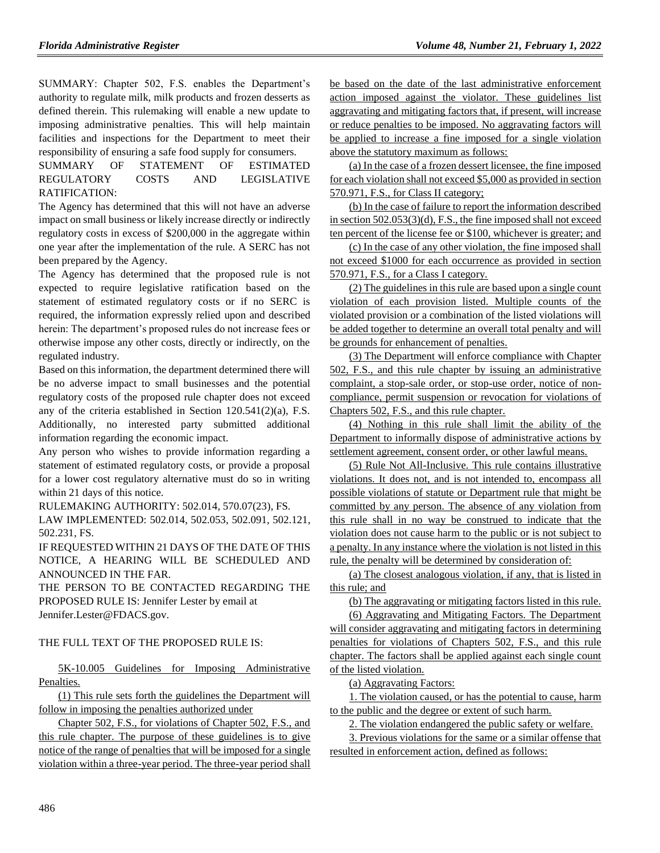SUMMARY: Chapter 502, F.S. enables the Department's authority to regulate milk, milk products and frozen desserts as defined therein. This rulemaking will enable a new update to imposing administrative penalties. This will help maintain facilities and inspections for the Department to meet their responsibility of ensuring a safe food supply for consumers.

SUMMARY OF STATEMENT OF ESTIMATED REGULATORY COSTS AND LEGISLATIVE RATIFICATION:

The Agency has determined that this will not have an adverse impact on small business or likely increase directly or indirectly regulatory costs in excess of \$200,000 in the aggregate within one year after the implementation of the rule. A SERC has not been prepared by the Agency.

The Agency has determined that the proposed rule is not expected to require legislative ratification based on the statement of estimated regulatory costs or if no SERC is required, the information expressly relied upon and described herein: The department's proposed rules do not increase fees or otherwise impose any other costs, directly or indirectly, on the regulated industry.

Based on this information, the department determined there will be no adverse impact to small businesses and the potential regulatory costs of the proposed rule chapter does not exceed any of the criteria established in Section 120.541(2)(a), F.S. Additionally, no interested party submitted additional information regarding the economic impact.

Any person who wishes to provide information regarding a statement of estimated regulatory costs, or provide a proposal for a lower cost regulatory alternative must do so in writing within 21 days of this notice.

RULEMAKING AUTHORITY: [502.014,](https://www.flrules.org/gateway/statute.asp?id=502.014) [570.07\(23\),](https://www.flrules.org/gateway/statute.asp?id=%20570.07(23)) FS.

LAW IMPLEMENTED: [502.014,](https://www.flrules.org/gateway/statute.asp?id=502.014) [502.053,](https://www.flrules.org/gateway/statute.asp?id=%20502.053) [502.091,](https://www.flrules.org/gateway/statute.asp?id=%20502.091) [502.121,](https://www.flrules.org/gateway/statute.asp?id=%20502.121) [502.231,](https://www.flrules.org/gateway/statute.asp?id=%20502.231) FS.

IF REQUESTED WITHIN 21 DAYS OF THE DATE OF THIS NOTICE, A HEARING WILL BE SCHEDULED AND ANNOUNCED IN THE FAR.

THE PERSON TO BE CONTACTED REGARDING THE PROPOSED RULE IS: Jennifer Lester by email at Jennifer.Lester@FDACS.gov.

THE FULL TEXT OF THE PROPOSED RULE IS:

5K-10.005 Guidelines for Imposing Administrative Penalties.

(1) This rule sets forth the guidelines the Department will follow in imposing the penalties authorized under

Chapter 502, F.S., for violations of Chapter 502, F.S., and this rule chapter. The purpose of these guidelines is to give notice of the range of penalties that will be imposed for a single violation within a three-year period. The three-year period shall

be based on the date of the last administrative enforcement action imposed against the violator. These guidelines list aggravating and mitigating factors that, if present, will increase or reduce penalties to be imposed. No aggravating factors will be applied to increase a fine imposed for a single violation above the statutory maximum as follows:

(a) In the case of a frozen dessert licensee, the fine imposed for each violation shall not exceed \$5,000 as provided in section 570.971, F.S., for Class II category;

(b) In the case of failure to report the information described in section 502.053(3)(d), F.S., the fine imposed shall not exceed ten percent of the license fee or \$100, whichever is greater; and

(c) In the case of any other violation, the fine imposed shall not exceed \$1000 for each occurrence as provided in section 570.971, F.S., for a Class I category.

(2) The guidelines in this rule are based upon a single count violation of each provision listed. Multiple counts of the violated provision or a combination of the listed violations will be added together to determine an overall total penalty and will be grounds for enhancement of penalties.

(3) The Department will enforce compliance with Chapter 502, F.S., and this rule chapter by issuing an administrative complaint, a stop-sale order, or stop-use order, notice of noncompliance, permit suspension or revocation for violations of Chapters 502, F.S., and this rule chapter.

(4) Nothing in this rule shall limit the ability of the Department to informally dispose of administrative actions by settlement agreement, consent order, or other lawful means.

(5) Rule Not All-Inclusive. This rule contains illustrative violations. It does not, and is not intended to, encompass all possible violations of statute or Department rule that might be committed by any person. The absence of any violation from this rule shall in no way be construed to indicate that the violation does not cause harm to the public or is not subject to a penalty. In any instance where the violation is not listed in this rule, the penalty will be determined by consideration of:

(a) The closest analogous violation, if any, that is listed in this rule; and

(b) The aggravating or mitigating factors listed in this rule.

(6) Aggravating and Mitigating Factors. The Department will consider aggravating and mitigating factors in determining penalties for violations of Chapters 502, F.S., and this rule chapter. The factors shall be applied against each single count of the listed violation.

(a) Aggravating Factors:

1. The violation caused, or has the potential to cause, harm to the public and the degree or extent of such harm.

2. The violation endangered the public safety or welfare.

3. Previous violations for the same or a similar offense that resulted in enforcement action, defined as follows: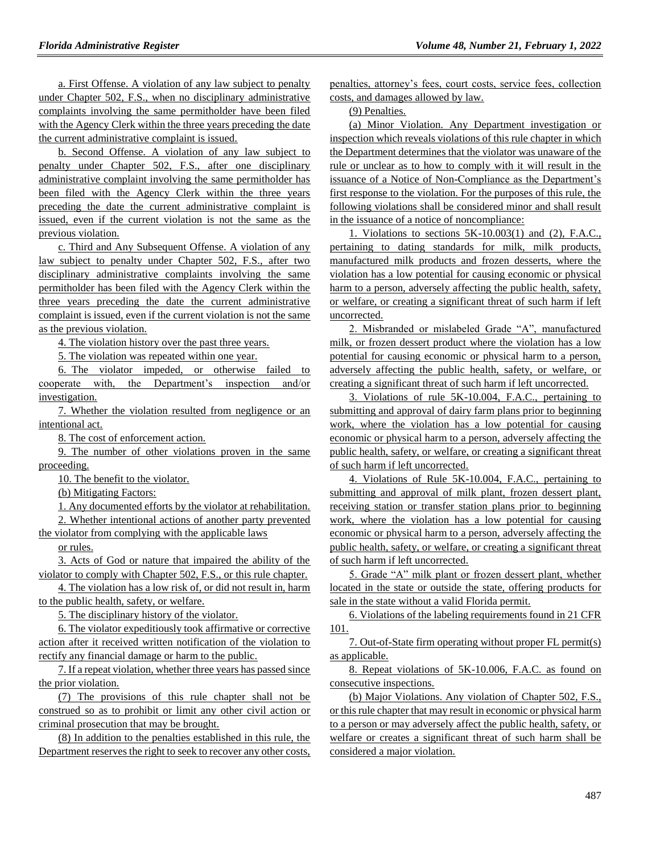a. First Offense. A violation of any law subject to penalty under Chapter 502, F.S., when no disciplinary administrative complaints involving the same permitholder have been filed with the Agency Clerk within the three years preceding the date the current administrative complaint is issued.

b. Second Offense. A violation of any law subject to penalty under Chapter 502, F.S., after one disciplinary administrative complaint involving the same permitholder has been filed with the Agency Clerk within the three years preceding the date the current administrative complaint is issued, even if the current violation is not the same as the previous violation.

c. Third and Any Subsequent Offense. A violation of any law subject to penalty under Chapter 502, F.S., after two disciplinary administrative complaints involving the same permitholder has been filed with the Agency Clerk within the three years preceding the date the current administrative complaint is issued, even if the current violation is not the same as the previous violation.

4. The violation history over the past three years.

5. The violation was repeated within one year.

6. The violator impeded, or otherwise failed to cooperate with, the Department's inspection and/or investigation.

7. Whether the violation resulted from negligence or an intentional act.

8. The cost of enforcement action.

9. The number of other violations proven in the same proceeding.

10. The benefit to the violator.

(b) Mitigating Factors:

1. Any documented efforts by the violator at rehabilitation.

2. Whether intentional actions of another party prevented

the violator from complying with the applicable laws

or rules.

3. Acts of God or nature that impaired the ability of the violator to comply with Chapter 502, F.S., or this rule chapter.

4. The violation has a low risk of, or did not result in, harm to the public health, safety, or welfare.

5. The disciplinary history of the violator.

6. The violator expeditiously took affirmative or corrective action after it received written notification of the violation to rectify any financial damage or harm to the public.

7. If a repeat violation, whether three years has passed since the prior violation.

(7) The provisions of this rule chapter shall not be construed so as to prohibit or limit any other civil action or criminal prosecution that may be brought.

(8) In addition to the penalties established in this rule, the Department reserves the right to seek to recover any other costs, penalties, attorney's fees, court costs, service fees, collection costs, and damages allowed by law.

(9) Penalties.

(a) Minor Violation. Any Department investigation or inspection which reveals violations of this rule chapter in which the Department determines that the violator was unaware of the rule or unclear as to how to comply with it will result in the issuance of a Notice of Non-Compliance as the Department's first response to the violation. For the purposes of this rule, the following violations shall be considered minor and shall result in the issuance of a notice of noncompliance:

1. Violations to sections 5K-10.003(1) and (2), F.A.C., pertaining to dating standards for milk, milk products, manufactured milk products and frozen desserts, where the violation has a low potential for causing economic or physical harm to a person, adversely affecting the public health, safety, or welfare, or creating a significant threat of such harm if left uncorrected.

2. Misbranded or mislabeled Grade "A", manufactured milk, or frozen dessert product where the violation has a low potential for causing economic or physical harm to a person, adversely affecting the public health, safety, or welfare, or creating a significant threat of such harm if left uncorrected.

3. Violations of rule 5K-10.004, F.A.C., pertaining to submitting and approval of dairy farm plans prior to beginning work, where the violation has a low potential for causing economic or physical harm to a person, adversely affecting the public health, safety, or welfare, or creating a significant threat of such harm if left uncorrected.

4. Violations of Rule 5K-10.004, F.A.C., pertaining to submitting and approval of milk plant, frozen dessert plant, receiving station or transfer station plans prior to beginning work, where the violation has a low potential for causing economic or physical harm to a person, adversely affecting the public health, safety, or welfare, or creating a significant threat of such harm if left uncorrected.

5. Grade "A" milk plant or frozen dessert plant, whether located in the state or outside the state, offering products for sale in the state without a valid Florida permit.

6. Violations of the labeling requirements found in 21 CFR 101.

7. Out-of-State firm operating without proper FL permit(s) as applicable.

8. Repeat violations of 5K-10.006, F.A.C. as found on consecutive inspections.

(b) Major Violations. Any violation of Chapter 502, F.S., or this rule chapter that may result in economic or physical harm to a person or may adversely affect the public health, safety, or welfare or creates a significant threat of such harm shall be considered a major violation.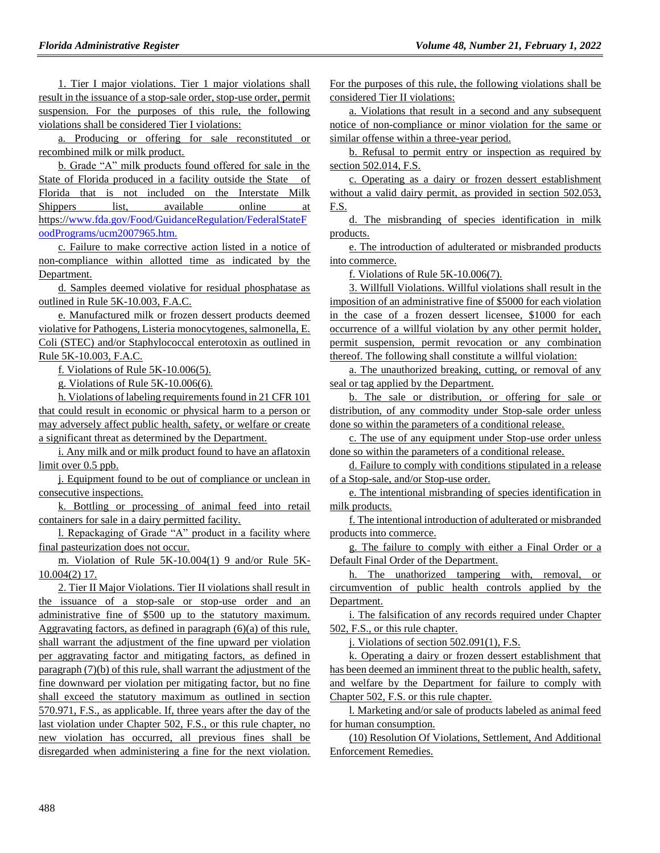1. Tier I major violations. Tier 1 major violations shall result in the issuance of a stop-sale order, stop-use order, permit suspension. For the purposes of this rule, the following violations shall be considered Tier I violations:

a. Producing or offering for sale reconstituted or recombined milk or milk product.

b. Grade "A" milk products found offered for sale in the State of Florida produced in a facility outside the State of Florida that is not included on the Interstate Milk Shippers list, available online at https:/[/www.fda.gov/Food/GuidanceRegulation/FederalStateF](http://www.fda.gov/Food/GuidanceRegulation/FederalStateFoodPrograms/ucm2007965.htm) [oodPrograms/ucm2007965.htm.](http://www.fda.gov/Food/GuidanceRegulation/FederalStateFoodPrograms/ucm2007965.htm)

c. Failure to make corrective action listed in a notice of non-compliance within allotted time as indicated by the Department.

d. Samples deemed violative for residual phosphatase as outlined in Rule 5K-10.003, F.A.C.

e. Manufactured milk or frozen dessert products deemed violative for Pathogens, Listeria monocytogenes, salmonella, E. Coli (STEC) and/or Staphylococcal enterotoxin as outlined in Rule 5K-10.003, F.A.C.

f. Violations of Rule 5K-10.006(5).

g. Violations of Rule 5K-10.006(6).

h. Violations of labeling requirements found in 21 CFR 101 that could result in economic or physical harm to a person or may adversely affect public health, safety, or welfare or create a significant threat as determined by the Department.

i. Any milk and or milk product found to have an aflatoxin limit over 0.5 ppb.

j. Equipment found to be out of compliance or unclean in consecutive inspections.

k. Bottling or processing of animal feed into retail containers for sale in a dairy permitted facility.

l. Repackaging of Grade "A" product in a facility where final pasteurization does not occur.

m. Violation of Rule 5K-10.004(1) 9 and/or Rule 5K-10.004(2) 17.

2. Tier II Major Violations. Tier II violations shall result in the issuance of a stop-sale or stop-use order and an administrative fine of \$500 up to the statutory maximum. Aggravating factors, as defined in paragraph (6)(a) of this rule, shall warrant the adjustment of the fine upward per violation per aggravating factor and mitigating factors, as defined in paragraph (7)(b) of this rule, shall warrant the adjustment of the fine downward per violation per mitigating factor, but no fine shall exceed the statutory maximum as outlined in section 570.971, F.S., as applicable. If, three years after the day of the last violation under Chapter 502, F.S., or this rule chapter, no new violation has occurred, all previous fines shall be disregarded when administering a fine for the next violation. For the purposes of this rule, the following violations shall be considered Tier II violations:

a. Violations that result in a second and any subsequent notice of non-compliance or minor violation for the same or similar offense within a three-year period.

b. Refusal to permit entry or inspection as required by section 502.014, F.S.

c. Operating as a dairy or frozen dessert establishment without a valid dairy permit, as provided in section 502.053, F.S.

d. The misbranding of species identification in milk products.

e. The introduction of adulterated or misbranded products into commerce.

f. Violations of Rule 5K-10.006(7).

3. Willfull Violations. Willful violations shall result in the imposition of an administrative fine of \$5000 for each violation in the case of a frozen dessert licensee, \$1000 for each occurrence of a willful violation by any other permit holder, permit suspension, permit revocation or any combination thereof. The following shall constitute a willful violation:

a. The unauthorized breaking, cutting, or removal of any seal or tag applied by the Department.

b. The sale or distribution, or offering for sale or distribution, of any commodity under Stop-sale order unless done so within the parameters of a conditional release.

c. The use of any equipment under Stop-use order unless done so within the parameters of a conditional release.

d. Failure to comply with conditions stipulated in a release of a Stop-sale, and/or Stop-use order.

e. The intentional misbranding of species identification in milk products.

f. The intentional introduction of adulterated or misbranded products into commerce.

g. The failure to comply with either a Final Order or a Default Final Order of the Department.

h. The unathorized tampering with, removal, or circumvention of public health controls applied by the Department.

i. The falsification of any records required under Chapter 502, F.S., or this rule chapter.

j. Violations of section 502.091(1), F.S.

k. Operating a dairy or frozen dessert establishment that has been deemed an imminent threat to the public health, safety, and welfare by the Department for failure to comply with Chapter 502, F.S. or this rule chapter.

l. Marketing and/or sale of products labeled as animal feed for human consumption.

(10) Resolution Of Violations, Settlement, And Additional Enforcement Remedies.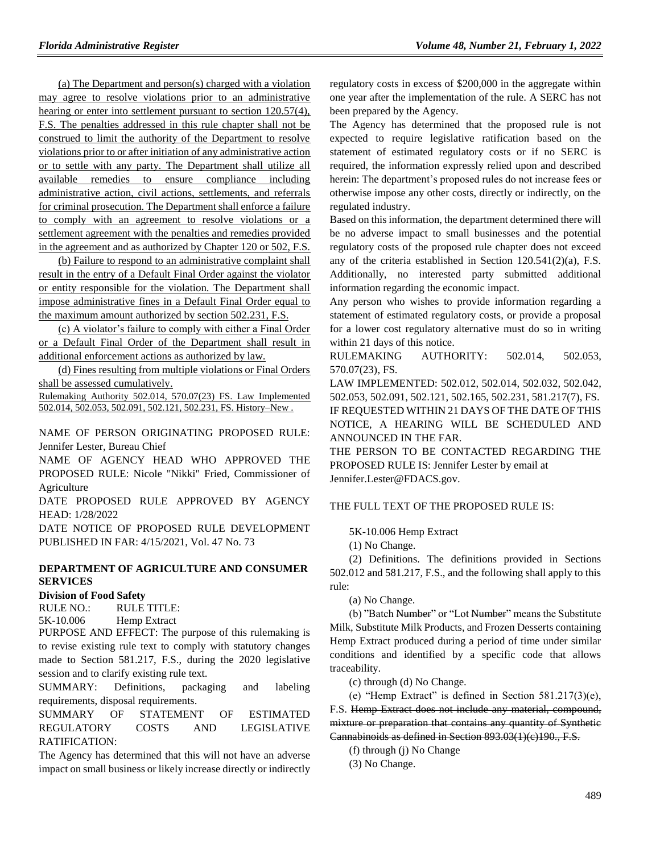(a) The Department and person(s) charged with a violation may agree to resolve violations prior to an administrative hearing or enter into settlement pursuant to section 120.57(4), F.S. The penalties addressed in this rule chapter shall not be construed to limit the authority of the Department to resolve violations prior to or after initiation of any administrative action or to settle with any party. The Department shall utilize all available remedies to ensure compliance including administrative action, civil actions, settlements, and referrals for criminal prosecution. The Department shall enforce a failure to comply with an agreement to resolve violations or a settlement agreement with the penalties and remedies provided in the agreement and as authorized by Chapter 120 or 502, F.S.

(b) Failure to respond to an administrative complaint shall result in the entry of a Default Final Order against the violator or entity responsible for the violation. The Department shall impose administrative fines in a Default Final Order equal to the maximum amount authorized by section 502.231, F.S.

(c) A violator's failure to comply with either a Final Order or a Default Final Order of the Department shall result in additional enforcement actions as authorized by law.

(d) Fines resulting from multiple violations or Final Orders shall be assessed cumulatively.

Rulemaking Authority 502.014, 570.07(23) FS. Law Implemented 502.014, 502.053, 502.091, 502.121, 502.231, FS. History–New .

NAME OF PERSON ORIGINATING PROPOSED RULE: Jennifer Lester, Bureau Chief

NAME OF AGENCY HEAD WHO APPROVED THE PROPOSED RULE: Nicole "Nikki" Fried, Commissioner of Agriculture

DATE PROPOSED RULE APPROVED BY AGENCY HEAD: 1/28/2022

DATE NOTICE OF PROPOSED RULE DEVELOPMENT PUBLISHED IN FAR: 4/15/2021, Vol. 47 No. 73

## **[DEPARTMENT OF AGRICULTURE AND CONSUMER](https://www.flrules.org/gateway/department.asp?id=5)  [SERVICES](https://www.flrules.org/gateway/department.asp?id=5)**

#### **[Division of Food Safety](https://www.flrules.org/gateway/organization.asp?id=171)**

RULE NO.: RULE TITLE:

[5K-10.006](https://www.flrules.org/gateway/ruleNo.asp?id=5K-10.006) Hemp Extract

PURPOSE AND EFFECT: The purpose of this rulemaking is to revise existing rule text to comply with statutory changes made to Section 581.217, F.S., during the 2020 legislative session and to clarify existing rule text.

SUMMARY: Definitions, packaging and labeling requirements, disposal requirements.

SUMMARY OF STATEMENT OF ESTIMATED REGULATORY COSTS AND LEGISLATIVE RATIFICATION:

The Agency has determined that this will not have an adverse impact on small business or likely increase directly or indirectly regulatory costs in excess of \$200,000 in the aggregate within one year after the implementation of the rule. A SERC has not been prepared by the Agency.

The Agency has determined that the proposed rule is not expected to require legislative ratification based on the statement of estimated regulatory costs or if no SERC is required, the information expressly relied upon and described herein: The department's proposed rules do not increase fees or otherwise impose any other costs, directly or indirectly, on the regulated industry.

Based on this information, the department determined there will be no adverse impact to small businesses and the potential regulatory costs of the proposed rule chapter does not exceed any of the criteria established in Section 120.541(2)(a), F.S. Additionally, no interested party submitted additional information regarding the economic impact.

Any person who wishes to provide information regarding a statement of estimated regulatory costs, or provide a proposal for a lower cost regulatory alternative must do so in writing within 21 days of this notice.

RULEMAKING AUTHORITY: [502.014,](https://www.flrules.org/gateway/statute.asp?id=502.014) [502.053,](https://www.flrules.org/gateway/statute.asp?id=%20502.053) [570.07\(23\),](https://www.flrules.org/gateway/statute.asp?id=%20570.07(23)) FS.

LAW IMPLEMENTED: [502.012,](https://www.flrules.org/gateway/statute.asp?id=502.012) [502.014,](https://www.flrules.org/gateway/statute.asp?id=%20502.014) [502.032,](https://www.flrules.org/gateway/statute.asp?id=%20502.032) [502.042,](https://www.flrules.org/gateway/statute.asp?id=%20502.042) [502.053,](https://www.flrules.org/gateway/statute.asp?id=%20502.053) [502.091,](https://www.flrules.org/gateway/statute.asp?id=%20502.091) [502.121,](https://www.flrules.org/gateway/statute.asp?id=%20502.121) [502.165,](https://www.flrules.org/gateway/statute.asp?id=%20502.165) [502.231,](https://www.flrules.org/gateway/statute.asp?id=%20502.231) [581.217\(7\),](https://www.flrules.org/gateway/statute.asp?id=%20581.217(7)) FS. IF REQUESTED WITHIN 21 DAYS OF THE DATE OF THIS NOTICE, A HEARING WILL BE SCHEDULED AND ANNOUNCED IN THE FAR.

THE PERSON TO BE CONTACTED REGARDING THE PROPOSED RULE IS: Jennifer Lester by email at Jennifer.Lester@FDACS.gov.

## THE FULL TEXT OF THE PROPOSED RULE IS:

5K-10.006 Hemp Extract

(1) No Change.

(2) Definitions. The definitions provided in Sections 502.012 and 581.217, F.S., and the following shall apply to this rule:

(a) No Change.

(b) "Batch Number" or "Lot Number" means the Substitute Milk, Substitute Milk Products, and Frozen Desserts containing Hemp Extract produced during a period of time under similar conditions and identified by a specific code that allows traceability.

(c) through (d) No Change.

(e) "Hemp Extract" is defined in Section 581.217(3)(e), F.S. Hemp Extract does not include any material, compound, mixture or preparation that contains any quantity of Synthetic Cannabinoids as defined in Section 893.03(1)(c)190., F.S.

(f) through (j) No Change

(3) No Change.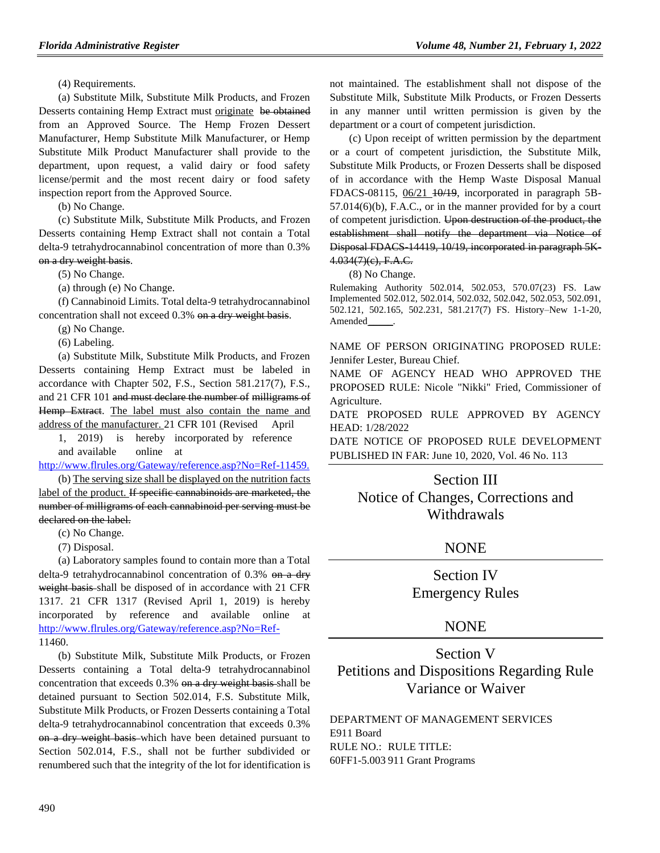(4) Requirements.

(a) Substitute Milk, Substitute Milk Products, and Frozen Desserts containing Hemp Extract must originate be obtained from an Approved Source. The Hemp Frozen Dessert Manufacturer, Hemp Substitute Milk Manufacturer, or Hemp Substitute Milk Product Manufacturer shall provide to the department, upon request, a valid dairy or food safety license/permit and the most recent dairy or food safety inspection report from the Approved Source.

(b) No Change.

(c) Substitute Milk, Substitute Milk Products, and Frozen Desserts containing Hemp Extract shall not contain a Total delta-9 tetrahydrocannabinol concentration of more than 0.3% on a dry weight basis.

(5) No Change.

(a) through (e) No Change.

(f) Cannabinoid Limits. Total delta-9 tetrahydrocannabinol concentration shall not exceed 0.3% on a dry weight basis.

(g) No Change.

(6) Labeling.

(a) Substitute Milk, Substitute Milk Products, and Frozen Desserts containing Hemp Extract must be labeled in accordance with Chapter 502, F.S., Section 581.217(7), F.S., and 21 CFR 101 and must declare the number of milligrams of Hemp Extract. The label must also contain the name and address of the manufacturer. 21 CFR 101 (Revised April

1, 2019) is hereby incorporated by reference and available online a[t](https://www.flrules.org/Gateway/reference.asp?No=Ref-11459)

[http://www.flrules.org/Gateway/reference.asp?No=Ref-11459.](https://www.flrules.org/Gateway/reference.asp?No=Ref-11459)

(b) The serving size shall be displayed on the nutrition facts label of the product. If specific cannabinoids are marketed, the number of milligrams of each cannabinoid per serving must be declared on the label.

(c) No Change.

(7) Disposal.

(a) Laboratory samples found to contain more than a Total delta-9 tetrahydrocannabinol concentration of 0.3% on a dry weight basis shall be disposed of in accordance with 21 CFR 1317. 21 CFR 1317 (Revised April 1, 2019) is hereby incorporated by reference and available online at [http://www.flrules.org/Gateway/reference.asp?No=Ref-](https://www.flrules.org/Gateway/reference.asp?No=Ref-)11460.

(b) Substitute Milk, Substitute Milk Products, or Frozen Desserts containing a Total delta-9 tetrahydrocannabinol concentration that exceeds 0.3% on a dry weight basis shall be detained pursuant to Section 502.014, F.S. Substitute Milk, Substitute Milk Products, or Frozen Desserts containing a Total delta-9 tetrahydrocannabinol concentration that exceeds 0.3% on a dry weight basis which have been detained pursuant to Section 502.014, F.S., shall not be further subdivided or renumbered such that the integrity of the lot for identification is

not maintained. The establishment shall not dispose of the Substitute Milk, Substitute Milk Products, or Frozen Desserts in any manner until written permission is given by the department or a court of competent jurisdiction.

(c) Upon receipt of written permission by the department or a court of competent jurisdiction, the Substitute Milk, Substitute Milk Products, or Frozen Desserts shall be disposed of in accordance with the Hemp Waste Disposal Manual FDACS-08115,  $06/21$   $10/19$ , incorporated in paragraph 5B-57.014(6)(b), F.A.C., or in the manner provided for by a court of competent jurisdiction. Upon destruction of the product, the establishment shall notify the department via Notice of Disposal FDACS-14419, 10/19, incorporated in paragraph 5K-4.034(7)(c), F.A.C.

(8) No Change.

Rulemaking Authority 502.014, 502.053, 570.07(23) FS. Law Implemented 502.012, 502.014, 502.032, 502.042, 502.053, 502.091, 502.121, 502.165, 502.231, 581.217(7) FS. History–New 1-1-20, Amended\_\_\_\_\_.

NAME OF PERSON ORIGINATING PROPOSED RULE: Jennifer Lester, Bureau Chief.

NAME OF AGENCY HEAD WHO APPROVED THE PROPOSED RULE: Nicole "Nikki" Fried, Commissioner of Agriculture.

DATE PROPOSED RULE APPROVED BY AGENCY HEAD: 1/28/2022

DATE NOTICE OF PROPOSED RULE DEVELOPMENT PUBLISHED IN FAR: June 10, 2020, Vol. 46 No. 113

## Section III

Notice of Changes, Corrections and Withdrawals

# **NONE**

Section IV Emergency Rules

# NONE

# Section V Petitions and Dispositions Regarding Rule Variance or Waiver

[DEPARTMENT OF MANAGEMENT SERVICES](https://www.flrules.org/gateway/department.asp?id=60) [E911 Board](https://www.flrules.org/gateway/organization.asp?id=958) RULE NO.: RULE TITLE: [60FF1-5.003](https://www.flrules.org/gateway/ruleNo.asp?id=60FF1-5.003) 911 Grant Programs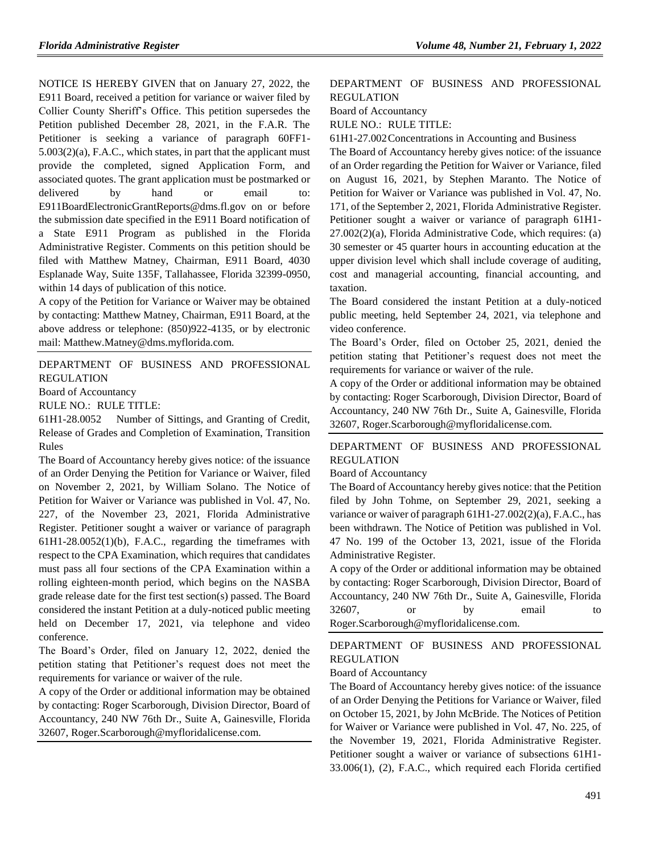NOTICE IS HEREBY GIVEN that on January 27, 2022, the E911 Board, received a petition for variance or waiver filed by Collier County Sheriff's Office. This petition supersedes the Petition published December 28, 2021, in the F.A.R. The Petitioner is seeking a variance of paragraph 60FF1- 5.003(2)(a), F.A.C., which states, in part that the applicant must provide the completed, signed Application Form, and associated quotes. The grant application must be postmarked or delivered by hand or email to: E911BoardElectronicGrantReports@dms.fl.gov on or before the submission date specified in the E911 Board notification of a State E911 Program as published in the Florida Administrative Register. Comments on this petition should be filed with Matthew Matney, Chairman, E911 Board, 4030 Esplanade Way, Suite 135F, Tallahassee, Florida 32399-0950, within 14 days of publication of this notice.

A copy of the Petition for Variance or Waiver may be obtained by contacting: Matthew Matney, Chairman, E911 Board, at the above address or telephone: (850)922-4135, or by electronic mail: Matthew.Matney@dms.myflorida.com.

[DEPARTMENT OF BUSINESS AND PROFESSIONAL](https://www.flrules.org/gateway/department.asp?id=61)  [REGULATION](https://www.flrules.org/gateway/department.asp?id=61)

[Board of Accountancy](https://www.flrules.org/gateway/organization.asp?id=280)

RULE NO.: RULE TITLE:

[61H1-28.0052](https://www.flrules.org/gateway/ruleNo.asp?id=61H1-28.0052) Number of Sittings, and Granting of Credit, Release of Grades and Completion of Examination, Transition Rules

The Board of Accountancy hereby gives notice: of the issuance of an Order Denying the Petition for Variance or Waiver, filed on November 2, 2021, by William Solano. The Notice of Petition for Waiver or Variance was published in Vol. 47, No. 227, of the November 23, 2021, Florida Administrative Register. Petitioner sought a waiver or variance of paragraph 61H1-28.0052(1)(b), F.A.C., regarding the timeframes with respect to the CPA Examination, which requires that candidates must pass all four sections of the CPA Examination within a rolling eighteen-month period, which begins on the NASBA grade release date for the first test section(s) passed. The Board considered the instant Petition at a duly-noticed public meeting held on December 17, 2021, via telephone and video conference.

The Board's Order, filed on January 12, 2022, denied the petition stating that Petitioner's request does not meet the requirements for variance or waiver of the rule.

A copy of the Order or additional information may be obtained by contacting: Roger Scarborough, Division Director, Board of Accountancy, 240 NW 76th Dr., Suite A, Gainesville, Florida 32607, Roger.Scarborough@myfloridalicense.com.

## [DEPARTMENT OF BUSINESS AND PROFESSIONAL](https://www.flrules.org/gateway/department.asp?id=61)  [REGULATION](https://www.flrules.org/gateway/department.asp?id=61)

[Board of Accountancy](https://www.flrules.org/gateway/organization.asp?id=280)

RULE NO.: RULE TITLE:

[61H1-27.002C](https://www.flrules.org/gateway/ruleNo.asp?id=61H1-27.002)oncentrations in Accounting and Business

The Board of Accountancy hereby gives notice: of the issuance of an Order regarding the Petition for Waiver or Variance, filed on August 16, 2021, by Stephen Maranto. The Notice of Petition for Waiver or Variance was published in Vol. 47, No. 171, of the September 2, 2021, Florida Administrative Register. Petitioner sought a waiver or variance of paragraph 61H1- 27.002(2)(a), Florida Administrative Code, which requires: (a) 30 semester or 45 quarter hours in accounting education at the upper division level which shall include coverage of auditing, cost and managerial accounting, financial accounting, and taxation.

The Board considered the instant Petition at a duly-noticed public meeting, held September 24, 2021, via telephone and video conference.

The Board's Order, filed on October 25, 2021, denied the petition stating that Petitioner's request does not meet the requirements for variance or waiver of the rule.

A copy of the Order or additional information may be obtained by contacting: Roger Scarborough, Division Director, Board of Accountancy, 240 NW 76th Dr., Suite A, Gainesville, Florida 32607, Roger.Scarborough@myfloridalicense.com.

[DEPARTMENT OF BUSINESS AND PROFESSIONAL](https://www.flrules.org/gateway/department.asp?id=61)  [REGULATION](https://www.flrules.org/gateway/department.asp?id=61)

[Board of Accountancy](https://www.flrules.org/gateway/organization.asp?id=280)

The Board of Accountancy hereby gives notice: that the Petition filed by John Tohme, on September 29, 2021, seeking a variance or waiver of paragraph 61H1-27.002(2)(a), F.A.C., has been withdrawn. The Notice of Petition was published in Vol. 47 No. 199 of the October 13, 2021, issue of the Florida Administrative Register.

A copy of the Order or additional information may be obtained by contacting: Roger Scarborough, Division Director, Board of Accountancy, 240 NW 76th Dr., Suite A, Gainesville, Florida 32607, or by email to Roger.Scarborough@myfloridalicense.com.

[DEPARTMENT OF BUSINESS AND PROFESSIONAL](https://www.flrules.org/gateway/department.asp?id=61)  [REGULATION](https://www.flrules.org/gateway/department.asp?id=61)

#### [Board of Accountancy](https://www.flrules.org/gateway/organization.asp?id=280)

The Board of Accountancy hereby gives notice: of the issuance of an Order Denying the Petitions for Variance or Waiver, filed on October 15, 2021, by John McBride. The Notices of Petition for Waiver or Variance were published in Vol. 47, No. 225, of the November 19, 2021, Florida Administrative Register. Petitioner sought a waiver or variance of subsections 61H1- 33.006(1), (2), F.A.C., which required each Florida certified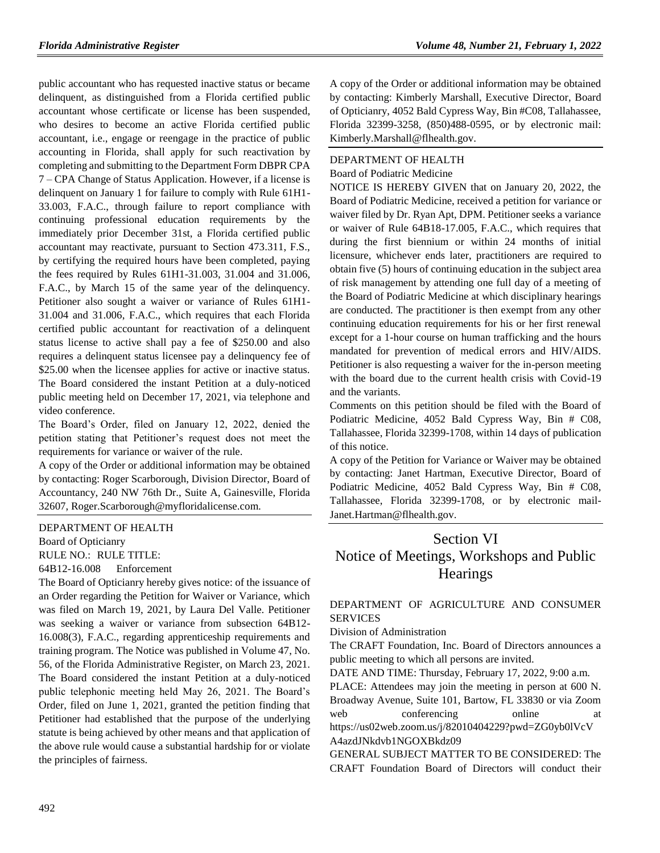public accountant who has requested inactive status or became delinquent, as distinguished from a Florida certified public accountant whose certificate or license has been suspended, who desires to become an active Florida certified public accountant, i.e., engage or reengage in the practice of public accounting in Florida, shall apply for such reactivation by completing and submitting to the Department Form DBPR CPA 7 – CPA Change of Status Application. However, if a license is delinquent on January 1 for failure to comply with Rule 61H1- 33.003, F.A.C., through failure to report compliance with continuing professional education requirements by the immediately prior December 31st, a Florida certified public accountant may reactivate, pursuant to Section 473.311, F.S., by certifying the required hours have been completed, paying the fees required by Rules 61H1-31.003, 31.004 and 31.006, F.A.C., by March 15 of the same year of the delinquency. Petitioner also sought a waiver or variance of Rules 61H1- 31.004 and 31.006, F.A.C., which requires that each Florida certified public accountant for reactivation of a delinquent status license to active shall pay a fee of \$250.00 and also requires a delinquent status licensee pay a delinquency fee of \$25.00 when the licensee applies for active or inactive status. The Board considered the instant Petition at a duly-noticed public meeting held on December 17, 2021, via telephone and video conference.

The Board's Order, filed on January 12, 2022, denied the petition stating that Petitioner's request does not meet the requirements for variance or waiver of the rule.

A copy of the Order or additional information may be obtained by contacting: Roger Scarborough, Division Director, Board of Accountancy, 240 NW 76th Dr., Suite A, Gainesville, Florida 32607, Roger.Scarborough@myfloridalicense.com.

## [DEPARTMENT OF HEALTH](https://www.flrules.org/gateway/department.asp?id=64)

[Board of Opticianry](https://www.flrules.org/gateway/organization.asp?id=303) RULE NO.: RULE TITLE:

[64B12-16.008](https://www.flrules.org/gateway/ruleNo.asp?id=64B12-16.008) Enforcement

The Board of Opticianry hereby gives notice: of the issuance of an Order regarding the Petition for Waiver or Variance, which was filed on March 19, 2021, by Laura Del Valle. Petitioner was seeking a waiver or variance from subsection 64B12- 16.008(3), F.A.C., regarding apprenticeship requirements and training program. The Notice was published in Volume 47, No. 56, of the Florida Administrative Register, on March 23, 2021. The Board considered the instant Petition at a duly-noticed public telephonic meeting held May 26, 2021. The Board's Order, filed on June 1, 2021, granted the petition finding that Petitioner had established that the purpose of the underlying statute is being achieved by other means and that application of the above rule would cause a substantial hardship for or violate the principles of fairness.

A copy of the Order or additional information may be obtained by contacting: Kimberly Marshall, Executive Director, Board of Opticianry, 4052 Bald Cypress Way, Bin #C08, Tallahassee, Florida 32399-3258, (850)488-0595, or by electronic mail: Kimberly.Marshall@flhealth.gov.

# [DEPARTMENT OF HEALTH](https://www.flrules.org/gateway/department.asp?id=64) [Board of Podiatric Medicine](https://www.flrules.org/gateway/organization.asp?id=309)

NOTICE IS HEREBY GIVEN that on January 20, 2022, the Board of Podiatric Medicine, received a petition for variance or waiver filed by Dr. Ryan Apt, DPM. Petitioner seeks a variance or waiver of Rule 64B18-17.005, F.A.C., which requires that during the first biennium or within 24 months of initial licensure, whichever ends later, practitioners are required to obtain five (5) hours of continuing education in the subject area of risk management by attending one full day of a meeting of the Board of Podiatric Medicine at which disciplinary hearings are conducted. The practitioner is then exempt from any other continuing education requirements for his or her first renewal except for a 1-hour course on human trafficking and the hours mandated for prevention of medical errors and HIV/AIDS. Petitioner is also requesting a waiver for the in-person meeting with the board due to the current health crisis with Covid-19 and the variants.

Comments on this petition should be filed with the Board of Podiatric Medicine, 4052 Bald Cypress Way, Bin # C08, Tallahassee, Florida 32399-1708, within 14 days of publication of this notice.

A copy of the Petition for Variance or Waiver may be obtained by contacting: Janet Hartman, Executive Director, Board of Podiatric Medicine, 4052 Bald Cypress Way, Bin # C08, Tallahassee, Florida 32399-1708, or by electronic mail-Janet.Hartman@flhealth.gov.

# Section VI Notice of Meetings, Workshops and Public **Hearings**

# [DEPARTMENT OF AGRICULTURE AND CONSUMER](https://www.flrules.org/gateway/department.asp?id=5)  [SERVICES](https://www.flrules.org/gateway/department.asp?id=5)

[Division of Administration](https://www.flrules.org/gateway/organization.asp?id=161)

The CRAFT Foundation, Inc. Board of Directors announces a public meeting to which all persons are invited.

DATE AND TIME: Thursday, February 17, 2022, 9:00 a.m.

PLACE: Attendees may join the meeting in person at 600 N. Broadway Avenue, Suite 101, Bartow, FL 33830 or via Zoom web conferencing online at https://us02web.zoom.us/j/82010404229?pwd=ZG0yb0lVcV A4azdJNkdvb1NGOXBkdz09

GENERAL SUBJECT MATTER TO BE CONSIDERED: The CRAFT Foundation Board of Directors will conduct their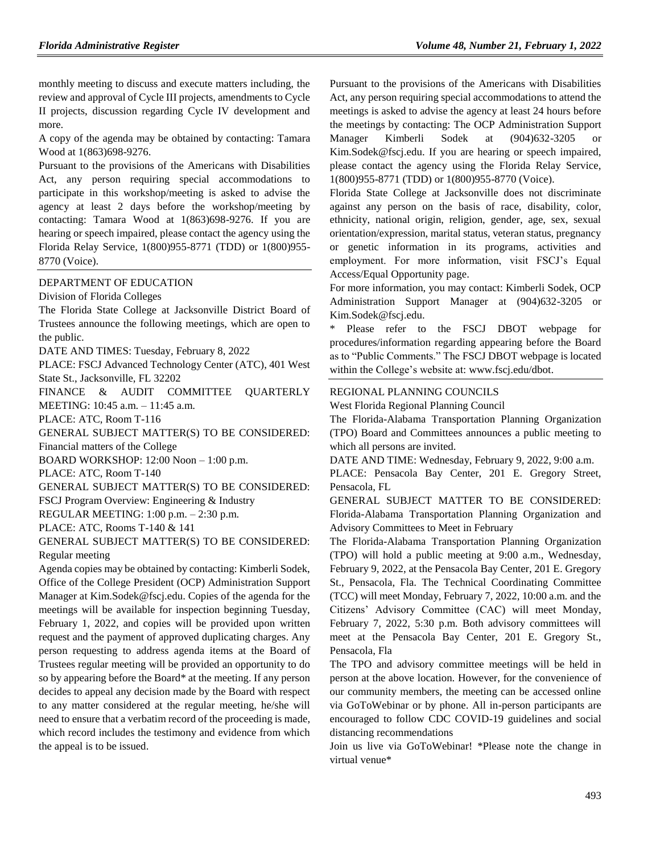monthly meeting to discuss and execute matters including, the review and approval of Cycle III projects, amendments to Cycle II projects, discussion regarding Cycle IV development and more.

A copy of the agenda may be obtained by contacting: Tamara Wood at 1(863)698-9276.

Pursuant to the provisions of the Americans with Disabilities Act, any person requiring special accommodations to participate in this workshop/meeting is asked to advise the agency at least 2 days before the workshop/meeting by contacting: Tamara Wood at 1(863)698-9276. If you are hearing or speech impaired, please contact the agency using the Florida Relay Service, 1(800)955-8771 (TDD) or 1(800)955- 8770 (Voice).

#### [DEPARTMENT OF EDUCATION](https://www.flrules.org/gateway/department.asp?id=6)

[Division of Florida Colleges](https://www.flrules.org/gateway/organization.asp?id=212)

The Florida State College at Jacksonville District Board of Trustees announce the following meetings, which are open to the public.

DATE AND TIMES: Tuesday, February 8, 2022

PLACE: FSCJ Advanced Technology Center (ATC), 401 West State St., Jacksonville, FL 32202

FINANCE & AUDIT COMMITTEE QUARTERLY MEETING: 10:45 a.m. – 11:45 a.m.

PLACE: ATC, Room T-116

GENERAL SUBJECT MATTER(S) TO BE CONSIDERED:

Financial matters of the College

BOARD WORKSHOP: 12:00 Noon – 1:00 p.m.

PLACE: ATC, Room T-140

GENERAL SUBJECT MATTER(S) TO BE CONSIDERED:

FSCJ Program Overview: Engineering & Industry

REGULAR MEETING: 1:00 p.m. – 2:30 p.m.

PLACE: ATC, Rooms T-140 & 141

GENERAL SUBJECT MATTER(S) TO BE CONSIDERED: Regular meeting

Agenda copies may be obtained by contacting: Kimberli Sodek, Office of the College President (OCP) Administration Support Manager at [Kim.Sodek@fscj.edu.](mailto:Kim.Sodek@fscj.edu) Copies of the agenda for the meetings will be available for inspection beginning Tuesday, February 1, 2022, and copies will be provided upon written request and the payment of approved duplicating charges. Any person requesting to address agenda items at the Board of Trustees regular meeting will be provided an opportunity to do so by appearing before the Board\* at the meeting. If any person decides to appeal any decision made by the Board with respect to any matter considered at the regular meeting, he/she will need to ensure that a verbatim record of the proceeding is made, which record includes the testimony and evidence from which the appeal is to be issued.

Pursuant to the provisions of the Americans with Disabilities Act, any person requiring special accommodations to attend the meetings is asked to advise the agency at least 24 hours before the meetings by contacting: The OCP Administration Support Manager Kimberli Sodek at (904)632-3205 or [Kim.Sodek@fscj.edu.](mailto:Kim.Sodek@fscj.edu) If you are hearing or speech impaired, please contact the agency using the Florida Relay Service, 1(800)955-8771 (TDD) or 1(800)955-8770 (Voice).

Florida State College at Jacksonville does not discriminate against any person on the basis of race, disability, color, ethnicity, national origin, religion, gender, age, sex, sexual orientation/expression, marital status, veteran status, pregnancy or genetic information in its programs, activities and employment. For more information, visit FSCJ's Equal Access/Equal Opportunity page.

For more information, you may contact: Kimberli Sodek, OCP Administration Support Manager at (904)632-3205 or [Kim.Sodek@fscj.edu.](mailto:Kim.Sodek@fscj.edu)

Please refer to the FSCJ DBOT webpage for procedures/information regarding appearing before the Board as to "Public Comments." The FSCJ DBOT webpage is located within the College's website at: [www.fscj.edu/dbot.](http://www.fscj.edu/dbot)

#### [REGIONAL PLANNING COUNCILS](https://www.flrules.org/gateway/department.asp?id=29)

[West Florida Regional Planning Council](https://www.flrules.org/gateway/organization.asp?id=57)

The Florida-Alabama Transportation Planning Organization (TPO) Board and Committees announces a public meeting to which all persons are invited.

DATE AND TIME: Wednesday, February 9, 2022, 9:00 a.m.

PLACE: Pensacola Bay Center, 201 E. Gregory Street, Pensacola, FL

GENERAL SUBJECT MATTER TO BE CONSIDERED: Florida-Alabama Transportation Planning Organization and Advisory Committees to Meet in February

The Florida-Alabama Transportation Planning Organization (TPO) will hold a public meeting at 9:00 a.m., Wednesday, February 9, 2022, at the Pensacola Bay Center, 201 E. Gregory St., Pensacola, Fla. The Technical Coordinating Committee (TCC) will meet Monday, February 7, 2022, 10:00 a.m. and the Citizens' Advisory Committee (CAC) will meet Monday, February 7, 2022, 5:30 p.m. Both advisory committees will meet at the Pensacola Bay Center, 201 E. Gregory St., Pensacola, Fla

The TPO and advisory committee meetings will be held in person at the above location. However, for the convenience of our community members, the meeting can be accessed online via GoToWebinar or by phone. All in-person participants are encouraged to follow CDC COVID-19 guidelines and social distancing recommendations

Join us live via GoToWebinar! \*Please note the change in virtual venue\*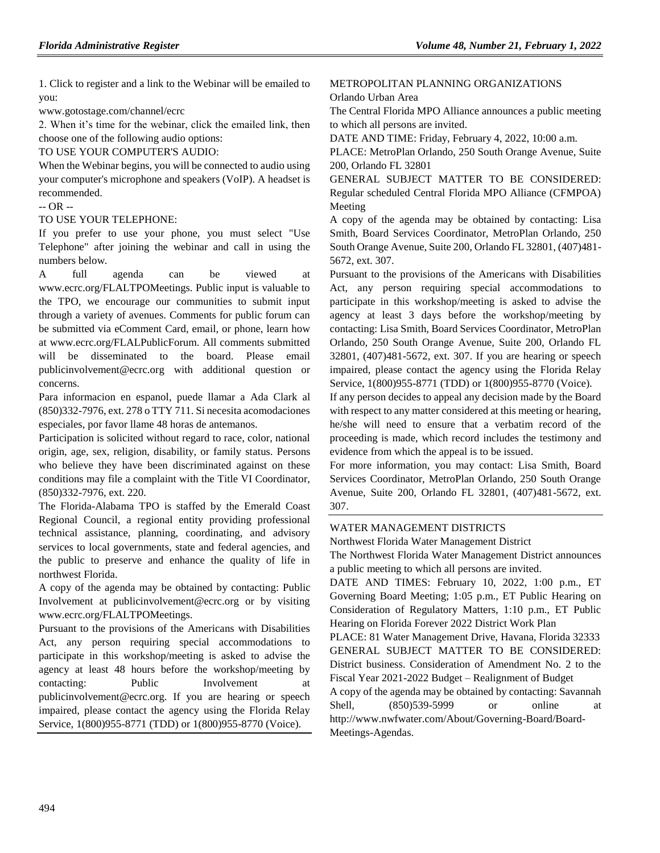1. Click to register and a link to the Webinar will be emailed to you:

www.gotostage.com/channel/ecrc

2. When it's time for the webinar, click the emailed link, then choose one of the following audio options:

TO USE YOUR COMPUTER'S AUDIO:

When the Webinar begins, you will be connected to audio using your computer's microphone and speakers (VoIP). A headset is recommended.

-- OR --

## TO USE YOUR TELEPHONE:

If you prefer to use your phone, you must select "Use Telephone" after joining the webinar and call in using the numbers below.

A full agenda can be viewed at www.ecrc.org/FLALTPOMeetings. Public input is valuable to the TPO, we encourage our communities to submit input through a variety of avenues. Comments for public forum can be submitted via eComment Card, email, or phone, learn how at www.ecrc.org/FLALPublicForum. All comments submitted will be disseminated to the board. Please email publicinvolvement@ecrc.org with additional question or concerns.

Para informacion en espanol, puede llamar a Ada Clark al (850)332-7976, ext. 278 o TTY 711. Si necesita acomodaciones especiales, por favor llame 48 horas de antemanos.

Participation is solicited without regard to race, color, national origin, age, sex, religion, disability, or family status. Persons who believe they have been discriminated against on these conditions may file a complaint with the Title VI Coordinator, (850)332-7976, ext. 220.

The Florida-Alabama TPO is staffed by the Emerald Coast Regional Council, a regional entity providing professional technical assistance, planning, coordinating, and advisory services to local governments, state and federal agencies, and the public to preserve and enhance the quality of life in northwest Florida.

A copy of the agenda may be obtained by contacting: Public Involvement at publicinvolvement@ecrc.org or by visiting www.ecrc.org/FLALTPOMeetings.

Pursuant to the provisions of the Americans with Disabilities Act, any person requiring special accommodations to participate in this workshop/meeting is asked to advise the agency at least 48 hours before the workshop/meeting by contacting: Public Involvement at publicinvolvement@ecrc.org. If you are hearing or speech impaired, please contact the agency using the Florida Relay Service, 1(800)955-8771 (TDD) or 1(800)955-8770 (Voice).

# [METROPOLITAN PLANNING ORGANIZATIONS](https://www.flrules.org/gateway/department.asp?id=35) [Orlando Urban Area](https://www.flrules.org/gateway/organization.asp?id=90)

The Central Florida MPO Alliance announces a public meeting to which all persons are invited.

DATE AND TIME: Friday, February 4, 2022, 10:00 a.m.

PLACE: MetroPlan Orlando, 250 South Orange Avenue, Suite 200, Orlando FL 32801

GENERAL SUBJECT MATTER TO BE CONSIDERED: Regular scheduled Central Florida MPO Alliance (CFMPOA) Meeting

A copy of the agenda may be obtained by contacting: Lisa Smith, Board Services Coordinator, MetroPlan Orlando, 250 South Orange Avenue, Suite 200, Orlando FL 32801, (407)481- 5672, ext. 307.

Pursuant to the provisions of the Americans with Disabilities Act, any person requiring special accommodations to participate in this workshop/meeting is asked to advise the agency at least 3 days before the workshop/meeting by contacting: Lisa Smith, Board Services Coordinator, MetroPlan Orlando, 250 South Orange Avenue, Suite 200, Orlando FL 32801, (407)481-5672, ext. 307. If you are hearing or speech impaired, please contact the agency using the Florida Relay Service, 1(800)955-8771 (TDD) or 1(800)955-8770 (Voice).

If any person decides to appeal any decision made by the Board with respect to any matter considered at this meeting or hearing, he/she will need to ensure that a verbatim record of the proceeding is made, which record includes the testimony and evidence from which the appeal is to be issued.

For more information, you may contact: Lisa Smith, Board Services Coordinator, MetroPlan Orlando, 250 South Orange Avenue, Suite 200, Orlando FL 32801, (407)481-5672, ext. 307.

## [WATER MANAGEMENT DISTRICTS](https://www.flrules.org/gateway/department.asp?id=40)

[Northwest Florida Water Management District](https://www.flrules.org/gateway/organization.asp?id=120)

The Northwest Florida Water Management District announces a public meeting to which all persons are invited.

DATE AND TIMES: February 10, 2022, 1:00 p.m., ET Governing Board Meeting; 1:05 p.m., ET Public Hearing on Consideration of Regulatory Matters, 1:10 p.m., ET Public Hearing on Florida Forever 2022 District Work Plan

PLACE: 81 Water Management Drive, Havana, Florida 32333 GENERAL SUBJECT MATTER TO BE CONSIDERED: District business. Consideration of Amendment No. 2 to the Fiscal Year 2021-2022 Budget – Realignment of Budget A copy of the agenda may be obtained by contacting: Savannah Shell, (850)539-5999 or online at http://www.nwfwater.com/About/Governing-Board/Board-

Meetings-Agendas.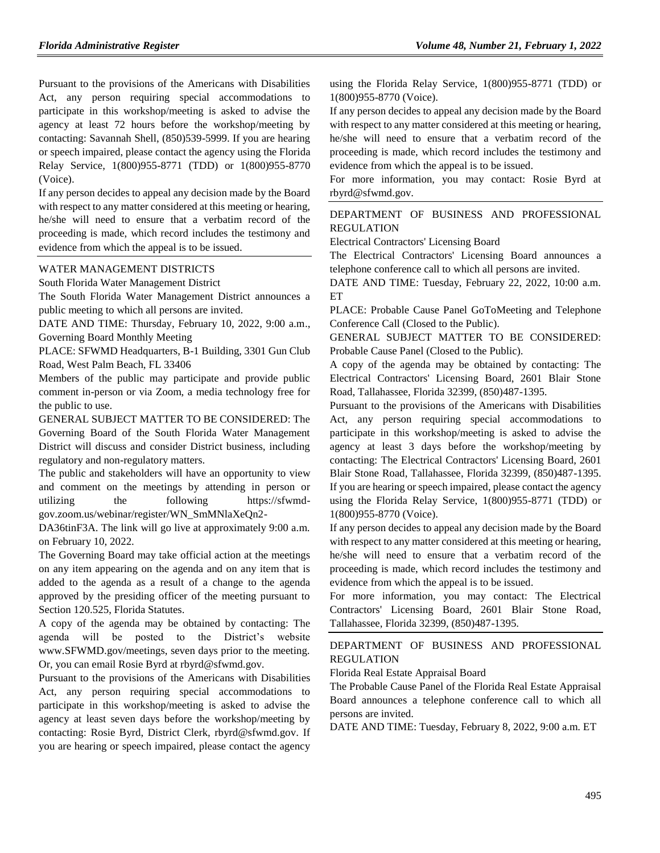Pursuant to the provisions of the Americans with Disabilities Act, any person requiring special accommodations to participate in this workshop/meeting is asked to advise the agency at least 72 hours before the workshop/meeting by contacting: Savannah Shell, (850)539-5999. If you are hearing or speech impaired, please contact the agency using the Florida Relay Service, 1(800)955-8771 (TDD) or 1(800)955-8770 (Voice).

If any person decides to appeal any decision made by the Board with respect to any matter considered at this meeting or hearing, he/she will need to ensure that a verbatim record of the proceeding is made, which record includes the testimony and evidence from which the appeal is to be issued.

#### [WATER MANAGEMENT DISTRICTS](https://www.flrules.org/gateway/department.asp?id=40)

[South Florida Water Management District](https://www.flrules.org/gateway/organization.asp?id=124)

The South Florida Water Management District announces a public meeting to which all persons are invited.

DATE AND TIME: Thursday, February 10, 2022, 9:00 a.m., Governing Board Monthly Meeting

PLACE: SFWMD Headquarters, B-1 Building, 3301 Gun Club Road, West Palm Beach, FL 33406

Members of the public may participate and provide public comment in-person or via Zoom, a media technology free for the public to use.

GENERAL SUBJECT MATTER TO BE CONSIDERED: The Governing Board of the South Florida Water Management District will discuss and consider District business, including regulatory and non-regulatory matters.

The public and stakeholders will have an opportunity to view and comment on the meetings by attending in person or utilizing the following https://sfwmdgov.zoom.us/webinar/register/WN\_SmMNlaXeQn2-

DA36tinF3A. The link will go live at approximately 9:00 a.m. on February 10, 2022.

The Governing Board may take official action at the meetings on any item appearing on the agenda and on any item that is added to the agenda as a result of a change to the agenda approved by the presiding officer of the meeting pursuant to Section 120.525, Florida Statutes.

A copy of the agenda may be obtained by contacting: The agenda will be posted to the District's website www.SFWMD.gov/meetings, seven days prior to the meeting. Or, you can email Rosie Byrd at rbyrd@sfwmd.gov.

Pursuant to the provisions of the Americans with Disabilities Act, any person requiring special accommodations to participate in this workshop/meeting is asked to advise the agency at least seven days before the workshop/meeting by contacting: Rosie Byrd, District Clerk, rbyrd@sfwmd.gov. If you are hearing or speech impaired, please contact the agency using the Florida Relay Service, 1(800)955-8771 (TDD) or 1(800)955-8770 (Voice).

If any person decides to appeal any decision made by the Board with respect to any matter considered at this meeting or hearing, he/she will need to ensure that a verbatim record of the proceeding is made, which record includes the testimony and evidence from which the appeal is to be issued.

For more information, you may contact: Rosie Byrd at rbyrd@sfwmd.gov.

## [DEPARTMENT OF BUSINESS AND PROFESSIONAL](https://www.flrules.org/gateway/department.asp?id=61)  [REGULATION](https://www.flrules.org/gateway/department.asp?id=61)

[Electrical Contractors' Licensing Board](https://www.flrules.org/gateway/organization.asp?id=276)

The Electrical Contractors' Licensing Board announces a telephone conference call to which all persons are invited.

DATE AND TIME: Tuesday, February 22, 2022, 10:00 a.m. ET

PLACE: Probable Cause Panel GoToMeeting and Telephone Conference Call (Closed to the Public).

GENERAL SUBJECT MATTER TO BE CONSIDERED: Probable Cause Panel (Closed to the Public).

A copy of the agenda may be obtained by contacting: The Electrical Contractors' Licensing Board, 2601 Blair Stone Road, Tallahassee, Florida 32399, (850)487-1395.

Pursuant to the provisions of the Americans with Disabilities Act, any person requiring special accommodations to participate in this workshop/meeting is asked to advise the agency at least 3 days before the workshop/meeting by contacting: The Electrical Contractors' Licensing Board, 2601 Blair Stone Road, Tallahassee, Florida 32399, (850)487-1395. If you are hearing or speech impaired, please contact the agency using the Florida Relay Service, 1(800)955-8771 (TDD) or 1(800)955-8770 (Voice).

If any person decides to appeal any decision made by the Board with respect to any matter considered at this meeting or hearing, he/she will need to ensure that a verbatim record of the proceeding is made, which record includes the testimony and evidence from which the appeal is to be issued.

For more information, you may contact: The Electrical Contractors' Licensing Board, 2601 Blair Stone Road, Tallahassee, Florida 32399, (850)487-1395.

## [DEPARTMENT OF BUSINESS AND PROFESSIONAL](https://www.flrules.org/gateway/department.asp?id=61)  [REGULATION](https://www.flrules.org/gateway/department.asp?id=61)

[Florida Real Estate Appraisal Board](https://www.flrules.org/gateway/organization.asp?id=282)

The Probable Cause Panel of the Florida Real Estate Appraisal Board announces a telephone conference call to which all persons are invited.

DATE AND TIME: Tuesday, February 8, 2022, 9:00 a.m. ET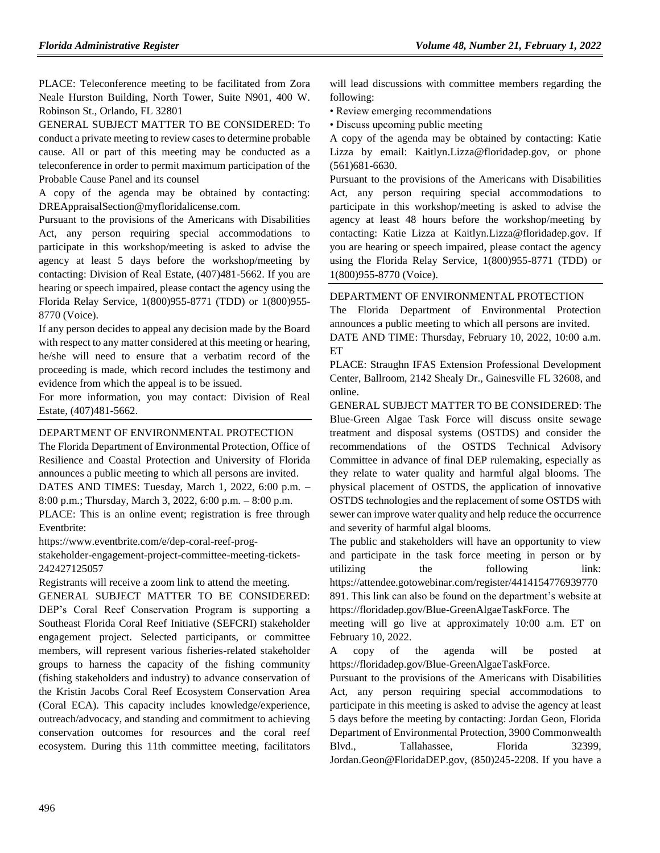PLACE: Teleconference meeting to be facilitated from Zora Neale Hurston Building, North Tower, Suite N901, 400 W. Robinson St., Orlando, FL 32801

GENERAL SUBJECT MATTER TO BE CONSIDERED: To conduct a private meeting to review cases to determine probable cause. All or part of this meeting may be conducted as a teleconference in order to permit maximum participation of the Probable Cause Panel and its counsel

A copy of the agenda may be obtained by contacting: DREAppraisalSection@myfloridalicense.com.

Pursuant to the provisions of the Americans with Disabilities Act, any person requiring special accommodations to participate in this workshop/meeting is asked to advise the agency at least 5 days before the workshop/meeting by contacting: Division of Real Estate, (407)481-5662. If you are hearing or speech impaired, please contact the agency using the Florida Relay Service, 1(800)955-8771 (TDD) or 1(800)955- 8770 (Voice).

If any person decides to appeal any decision made by the Board with respect to any matter considered at this meeting or hearing, he/she will need to ensure that a verbatim record of the proceeding is made, which record includes the testimony and evidence from which the appeal is to be issued.

For more information, you may contact: Division of Real Estate, (407)481-5662.

### [DEPARTMENT OF ENVIRONMENTAL PROTECTION](https://www.flrules.org/gateway/department.asp?id=62)

The Florida Department of Environmental Protection, Office of Resilience and Coastal Protection and University of Florida announces a public meeting to which all persons are invited. DATES AND TIMES: Tuesday, March 1, 2022, 6:00 p.m. – 8:00 p.m.; Thursday, March 3, 2022, 6:00 p.m. – 8:00 p.m. PLACE: This is an online event; registration is free through Eventbrite:

https://www.eventbrite.com/e/dep-coral-reef-prog-

stakeholder-engagement-project-committee-meeting-tickets-242427125057

Registrants will receive a zoom link to attend the meeting. GENERAL SUBJECT MATTER TO BE CONSIDERED: DEP's Coral Reef Conservation Program is supporting a Southeast Florida Coral Reef Initiative (SEFCRI) stakeholder engagement project. Selected participants, or committee members, will represent various fisheries-related stakeholder groups to harness the capacity of the fishing community (fishing stakeholders and industry) to advance conservation of the Kristin Jacobs Coral Reef Ecosystem Conservation Area (Coral ECA). This capacity includes knowledge/experience, outreach/advocacy, and standing and commitment to achieving conservation outcomes for resources and the coral reef ecosystem. During this 11th committee meeting, facilitators

will lead discussions with committee members regarding the following:

• Review emerging recommendations

• Discuss upcoming public meeting

A copy of the agenda may be obtained by contacting: Katie Lizza by email: Kaitlyn.Lizza@floridadep.gov, or phone (561)681-6630.

Pursuant to the provisions of the Americans with Disabilities Act, any person requiring special accommodations to participate in this workshop/meeting is asked to advise the agency at least 48 hours before the workshop/meeting by contacting: Katie Lizza at Kaitlyn.Lizza@floridadep.gov. If you are hearing or speech impaired, please contact the agency using the Florida Relay Service, 1(800)955-8771 (TDD) or 1(800)955-8770 (Voice).

#### DEPARTMENT OF ENVIRONMENTAL PROTECTION

The Florida Department of Environmental Protection announces a public meeting to which all persons are invited.

DATE AND TIME: Thursday, February 10, 2022, 10:00 a.m. ET

PLACE: Straughn IFAS Extension Professional Development Center, Ballroom, 2142 Shealy Dr., Gainesville FL 32608, and online.

GENERAL SUBJECT MATTER TO BE CONSIDERED: The [Blue-Green Algae Task Force](https://protectingfloridatogether.gov/state-action/blue-green-algae-task-force) will discuss onsite sewage treatment and disposal systems (OSTDS) and consider the recommendations of the OSTDS Technical Advisory Committee in advance of final DEP rulemaking, especially as they relate to water quality and harmful algal blooms. The physical placement of OSTDS, the application of innovative OSTDS technologies and the replacement of some OSTDS with sewer can improve water quality and help reduce the occurrence and severity of harmful algal blooms.

The public and stakeholders will have an opportunity to view and participate in the task force meeting in person or by utilizing the following link: [https://attendee.gotowebinar.com/register/4414154776939770](https://attendee.gotowebinar.com/register/4414154776939770891) [891.](https://attendee.gotowebinar.com/register/4414154776939770891) This link can also be found on the department's website at https://floridadep.gov/Blue-GreenAlgaeTaskForce. The

meeting will go live at approximately 10:00 a.m. ET on February 10, 2022.

A copy of the agenda will be posted at [https://floridadep.gov/Blue-GreenAlgaeTaskForce.](https://floridadep.gov/Blue-GreenAlgaeTaskForce)

Pursuant to the provisions of the Americans with Disabilities Act, any person requiring special accommodations to participate in this meeting is asked to advise the agency at least 5 days before the meeting by contacting: Jordan Geon, Florida Department of Environmental Protection, 3900 Commonwealth Blvd., Tallahassee, Florida 32399, Jordan.Geon@FloridaDEP.gov, (850)245-2208. If you have a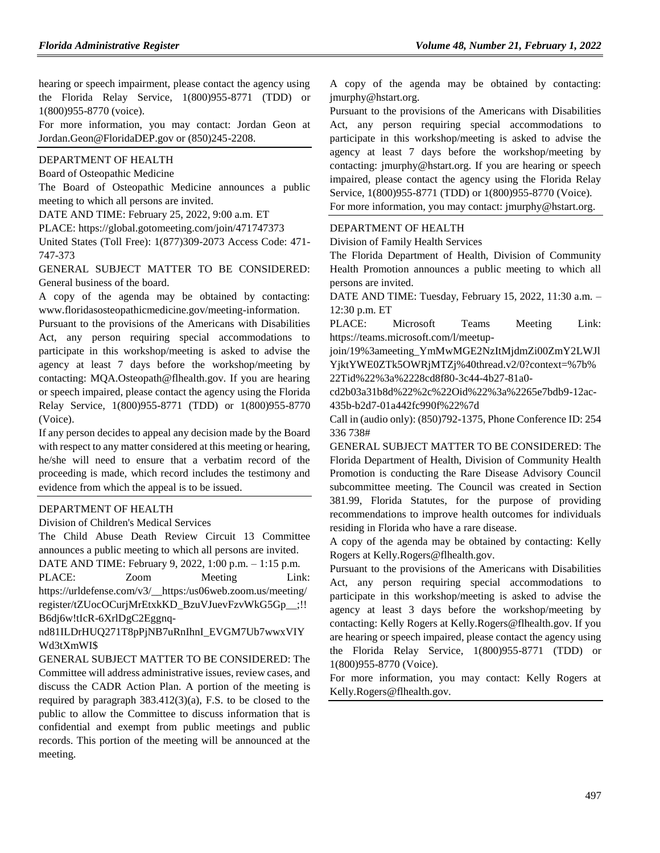hearing or speech impairment, please contact the agency using the Florida Relay Service, 1(800)955-8771 (TDD) or 1(800)955-8770 (voice).

For more information, you may contact: Jordan Geon at Jordan.Geon@FloridaDEP.gov or (850)245-2208.

# [DEPARTMENT OF HEALTH](https://www.flrules.org/gateway/department.asp?id=64)

[Board of Osteopathic Medicine](https://www.flrules.org/gateway/organization.asp?id=306)

The Board of Osteopathic Medicine announces a public meeting to which all persons are invited.

DATE AND TIME: February 25, 2022, 9:00 a.m. ET

PLACE: https://global.gotomeeting.com/join/471747373

United States (Toll Free): 1(877)309-2073 Access Code: 471- 747-373

GENERAL SUBJECT MATTER TO BE CONSIDERED: General business of the board.

A copy of the agenda may be obtained by contacting: www.floridasosteopathicmedicine.gov/meeting-information.

Pursuant to the provisions of the Americans with Disabilities Act, any person requiring special accommodations to participate in this workshop/meeting is asked to advise the agency at least 7 days before the workshop/meeting by contacting: MQA.Osteopath@flhealth.gov. If you are hearing or speech impaired, please contact the agency using the Florida Relay Service, 1(800)955-8771 (TDD) or 1(800)955-8770 (Voice).

If any person decides to appeal any decision made by the Board with respect to any matter considered at this meeting or hearing, he/she will need to ensure that a verbatim record of the proceeding is made, which record includes the testimony and evidence from which the appeal is to be issued.

### [DEPARTMENT OF HEALTH](https://www.flrules.org/gateway/department.asp?id=64)

[Division of Children's Medical Services](https://www.flrules.org/gateway/organization.asp?id=333)

The Child Abuse Death Review Circuit 13 Committee announces a public meeting to which all persons are invited.

DATE AND TIME: February 9, 2022, 1:00 p.m. – 1:15 p.m. PLACE: Zoom Meeting Link:

https://urldefense.com/v3/\_\_https:/us06web.zoom.us/meeting/ register/tZUocOCurjMrEtxkKD\_BzuVJuevFzvWkG5Gp\_\_;!! B6dj6w!tIcR-6XrlDgC2Eggnq-

nd81ILDrHUQ271T8pPjNB7uRnIhnI\_EVGM7Ub7wwxVIY Wd3tXmWI\$

GENERAL SUBJECT MATTER TO BE CONSIDERED: The Committee will address administrative issues, review cases, and discuss the CADR Action Plan. A portion of the meeting is required by paragraph 383.412(3)(a), F.S. to be closed to the public to allow the Committee to discuss information that is confidential and exempt from public meetings and public records. This portion of the meeting will be announced at the meeting.

A copy of the agenda may be obtained by contacting: jmurphy@hstart.org.

Pursuant to the provisions of the Americans with Disabilities Act, any person requiring special accommodations to participate in this workshop/meeting is asked to advise the agency at least 7 days before the workshop/meeting by contacting: jmurphy@hstart.org. If you are hearing or speech impaired, please contact the agency using the Florida Relay Service, 1(800)955-8771 (TDD) or 1(800)955-8770 (Voice). For more information, you may contact: jmurphy@hstart.org.

[DEPARTMENT OF HEALTH](https://www.flrules.org/gateway/department.asp?id=64)

[Division of Family Health Services](https://www.flrules.org/gateway/organization.asp?id=336)

The Florida Department of Health, Division of Community Health Promotion announces a public meeting to which all persons are invited.

DATE AND TIME: Tuesday, February 15, 2022, 11:30 a.m. – 12:30 p.m. ET

PLACE: Microsoft Teams Meeting Link: https://teams.microsoft.com/l/meetup-

join/19%3ameeting\_YmMwMGE2NzItMjdmZi00ZmY2LWJl YjktYWE0ZTk5OWRjMTZj%40thread.v2/0?context=%7b% 22Tid%22%3a%2228cd8f80-3c44-4b27-81a0-

cd2b03a31b8d%22%2c%22Oid%22%3a%2265e7bdb9-12ac-435b-b2d7-01a442fc990f%22%7d

Call in (audio only): (850)792-1375, Phone Conference ID: 254 336 738#

GENERAL SUBJECT MATTER TO BE CONSIDERED: The Florida Department of Health, Division of Community Health Promotion is conducting the Rare Disease Advisory Council subcommittee meeting. The Council was created in Section 381.99, Florida Statutes, for the purpose of providing recommendations to improve health outcomes for individuals residing in Florida who have a rare disease.

A copy of the agenda may be obtained by contacting: Kelly Rogers at Kelly.Rogers@flhealth.gov.

Pursuant to the provisions of the Americans with Disabilities Act, any person requiring special accommodations to participate in this workshop/meeting is asked to advise the agency at least 3 days before the workshop/meeting by contacting: Kelly Rogers at Kelly.Rogers@flhealth.gov. If you are hearing or speech impaired, please contact the agency using the Florida Relay Service, 1(800)955-8771 (TDD) or 1(800)955-8770 (Voice).

For more information, you may contact: Kelly Rogers at Kelly.Rogers@flhealth.gov.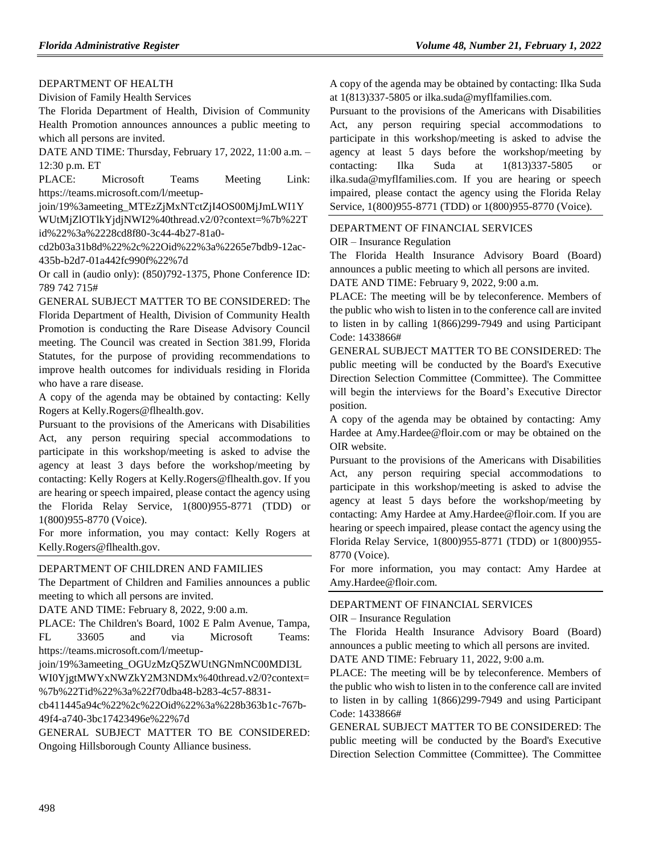### [DEPARTMENT OF HEALTH](https://www.flrules.org/gateway/department.asp?id=64)

[Division of Family Health Services](https://www.flrules.org/gateway/organization.asp?id=336)

The Florida Department of Health, Division of Community Health Promotion announces announces a public meeting to which all persons are invited.

DATE AND TIME: Thursday, February 17, 2022, 11:00 a.m. – 12:30 p.m. ET

PLACE: Microsoft Teams Meeting Link: https://teams.microsoft.com/l/meetup-

join/19%3ameeting\_MTEzZjMxNTctZjI4OS00MjJmLWI1Y

WUtMjZlOTlkYjdjNWI2%40thread.v2/0?context=%7b%22T id%22%3a%2228cd8f80-3c44-4b27-81a0-

cd2b03a31b8d%22%2c%22Oid%22%3a%2265e7bdb9-12ac-435b-b2d7-01a442fc990f%22%7d

Or call in (audio only): (850)792-1375, Phone Conference ID: 789 742 715#

GENERAL SUBJECT MATTER TO BE CONSIDERED: The Florida Department of Health, Division of Community Health Promotion is conducting the Rare Disease Advisory Council meeting. The Council was created in Section 381.99, Florida Statutes, for the purpose of providing recommendations to improve health outcomes for individuals residing in Florida who have a rare disease.

A copy of the agenda may be obtained by contacting: Kelly Rogers at Kelly.Rogers@flhealth.gov.

Pursuant to the provisions of the Americans with Disabilities Act, any person requiring special accommodations to participate in this workshop/meeting is asked to advise the agency at least 3 days before the workshop/meeting by contacting: Kelly Rogers at Kelly.Rogers@flhealth.gov. If you are hearing or speech impaired, please contact the agency using the Florida Relay Service, 1(800)955-8771 (TDD) or 1(800)955-8770 (Voice).

For more information, you may contact: Kelly Rogers at Kelly.Rogers@flhealth.gov.

## [DEPARTMENT OF CHILDREN AND FAMILIES](https://www.flrules.org/gateway/department.asp?id=65)

The Department of Children and Families announces a public meeting to which all persons are invited.

DATE AND TIME: February 8, 2022, 9:00 a.m.

PLACE: The Children's Board, 1002 E Palm Avenue, Tampa, FL 33605 and via Microsoft Teams: https://teams.microsoft.com/l/meetup-

join/19%3ameeting\_OGUzMzQ5ZWUtNGNmNC00MDI3L

WI0YjgtMWYxNWZkY2M3NDMx%40thread.v2/0?context= %7b%22Tid%22%3a%22f70dba48-b283-4c57-8831-

cb411445a94c%22%2c%22Oid%22%3a%228b363b1c-767b-49f4-a740-3bc17423496e%22%7d

GENERAL SUBJECT MATTER TO BE CONSIDERED: Ongoing Hillsborough County Alliance business.

A copy of the agenda may be obtained by contacting: Ilka Suda at 1(813)337-5805 or ilka.suda@myflfamilies.com.

Pursuant to the provisions of the Americans with Disabilities Act, any person requiring special accommodations to participate in this workshop/meeting is asked to advise the agency at least 5 days before the workshop/meeting by contacting: Ilka Suda at 1(813)337-5805 or ilka.suda@myflfamilies.com. If you are hearing or speech impaired, please contact the agency using the Florida Relay Service, 1(800)955-8771 (TDD) or 1(800)955-8770 (Voice).

#### [DEPARTMENT OF FINANCIAL SERVICES](https://www.flrules.org/gateway/department.asp?id=69)

OIR – [Insurance Regulation](https://www.flrules.org/gateway/organization.asp?id=520)

The Florida Health Insurance Advisory Board (Board) announces a public meeting to which all persons are invited. DATE AND TIME: February 9, 2022, 9:00 a.m.

PLACE: The meeting will be by teleconference. Members of the public who wish to listen in to the conference call are invited to listen in by calling 1(866)299-7949 and using Participant Code: 1433866#

GENERAL SUBJECT MATTER TO BE CONSIDERED: The public meeting will be conducted by the Board's Executive Direction Selection Committee (Committee). The Committee will begin the interviews for the Board's Executive Director position.

A copy of the agenda may be obtained by contacting: Amy Hardee at Amy.Hardee@floir.com or may be obtained on the OIR website.

Pursuant to the provisions of the Americans with Disabilities Act, any person requiring special accommodations to participate in this workshop/meeting is asked to advise the agency at least 5 days before the workshop/meeting by contacting: Amy Hardee at Amy.Hardee@floir.com. If you are hearing or speech impaired, please contact the agency using the Florida Relay Service, 1(800)955-8771 (TDD) or 1(800)955- 8770 (Voice).

For more information, you may contact: Amy Hardee at Amy.Hardee@floir.com.

# [DEPARTMENT OF FINANCIAL SERVICES](https://www.flrules.org/gateway/department.asp?id=69)

### OIR – [Insurance Regulation](https://www.flrules.org/gateway/organization.asp?id=520)

The Florida Health Insurance Advisory Board (Board) announces a public meeting to which all persons are invited.

DATE AND TIME: February 11, 2022, 9:00 a.m.

PLACE: The meeting will be by teleconference. Members of the public who wish to listen in to the conference call are invited to listen in by calling 1(866)299-7949 and using Participant Code: 1433866#

GENERAL SUBJECT MATTER TO BE CONSIDERED: The public meeting will be conducted by the Board's Executive Direction Selection Committee (Committee). The Committee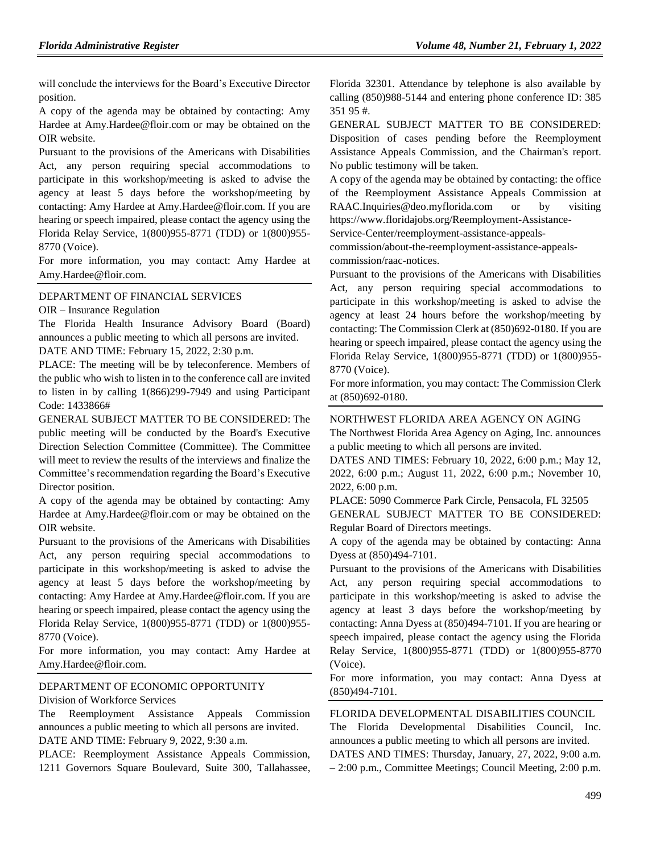will conclude the interviews for the Board's Executive Director position.

A copy of the agenda may be obtained by contacting: Amy Hardee at Amy.Hardee@floir.com or may be obtained on the OIR website.

Pursuant to the provisions of the Americans with Disabilities Act, any person requiring special accommodations to participate in this workshop/meeting is asked to advise the agency at least 5 days before the workshop/meeting by contacting: Amy Hardee at Amy.Hardee@floir.com. If you are hearing or speech impaired, please contact the agency using the Florida Relay Service, 1(800)955-8771 (TDD) or 1(800)955- 8770 (Voice).

For more information, you may contact: Amy Hardee at Amy.Hardee@floir.com.

### [DEPARTMENT OF FINANCIAL SERVICES](https://www.flrules.org/gateway/department.asp?id=69)

OIR – [Insurance Regulation](https://www.flrules.org/gateway/organization.asp?id=520)

The Florida Health Insurance Advisory Board (Board) announces a public meeting to which all persons are invited. DATE AND TIME: February 15, 2022, 2:30 p.m.

PLACE: The meeting will be by teleconference. Members of the public who wish to listen in to the conference call are invited to listen in by calling 1(866)299-7949 and using Participant Code: 1433866#

GENERAL SUBJECT MATTER TO BE CONSIDERED: The public meeting will be conducted by the Board's Executive Direction Selection Committee (Committee). The Committee will meet to review the results of the interviews and finalize the Committee's recommendation regarding the Board's Executive Director position.

A copy of the agenda may be obtained by contacting: Amy Hardee at Amy.Hardee@floir.com or may be obtained on the OIR website.

Pursuant to the provisions of the Americans with Disabilities Act, any person requiring special accommodations to participate in this workshop/meeting is asked to advise the agency at least 5 days before the workshop/meeting by contacting: Amy Hardee at Amy.Hardee@floir.com. If you are hearing or speech impaired, please contact the agency using the Florida Relay Service, 1(800)955-8771 (TDD) or 1(800)955- 8770 (Voice).

For more information, you may contact: Amy Hardee at Amy.Hardee@floir.com.

#### [DEPARTMENT OF ECONOMIC OPPORTUNITY](https://www.flrules.org/gateway/department.asp?id=73)

[Division of Workforce Services](https://www.flrules.org/gateway/organization.asp?id=1065)

The Reemployment Assistance Appeals Commission announces a public meeting to which all persons are invited. DATE AND TIME: February 9, 2022, 9:30 a.m.

PLACE: Reemployment Assistance Appeals Commission, 1211 Governors Square Boulevard, Suite 300, Tallahassee, Florida 32301. Attendance by telephone is also available by calling (850)988-5144 and entering phone conference ID: 385 351 95 #.

GENERAL SUBJECT MATTER TO BE CONSIDERED: Disposition of cases pending before the Reemployment Assistance Appeals Commission, and the Chairman's report. No public testimony will be taken.

A copy of the agenda may be obtained by contacting: the office of the Reemployment Assistance Appeals Commission at RAAC.Inquiries@deo.myflorida.com or by visiting https://www.floridajobs.org/Reemployment-Assistance-

Service-Center/reemployment-assistance-appeals-

commission/about-the-reemployment-assistance-appealscommission/raac-notices.

Pursuant to the provisions of the Americans with Disabilities Act, any person requiring special accommodations to participate in this workshop/meeting is asked to advise the agency at least 24 hours before the workshop/meeting by contacting: The Commission Clerk at (850)692-0180. If you are hearing or speech impaired, please contact the agency using the Florida Relay Service, 1(800)955-8771 (TDD) or 1(800)955- 8770 (Voice).

For more information, you may contact: The Commission Clerk at (850)692-0180.

#### NORTHWEST [FLORIDA AREA AGENCY ON AGING](https://www.flrules.org/gateway/organization.asp?id=798)

The Northwest Florida Area Agency on Aging, Inc. announces a public meeting to which all persons are invited.

DATES AND TIMES: February 10, 2022, 6:00 p.m.; May 12, 2022, 6:00 p.m.; August 11, 2022, 6:00 p.m.; November 10, 2022, 6:00 p.m.

PLACE: 5090 Commerce Park Circle, Pensacola, FL 32505

GENERAL SUBJECT MATTER TO BE CONSIDERED: Regular Board of Directors meetings.

A copy of the agenda may be obtained by contacting: Anna Dyess at (850)494-7101.

Pursuant to the provisions of the Americans with Disabilities Act, any person requiring special accommodations to participate in this workshop/meeting is asked to advise the agency at least 3 days before the workshop/meeting by contacting: Anna Dyess at (850)494-7101. If you are hearing or speech impaired, please contact the agency using the Florida Relay Service, 1(800)955-8771 (TDD) or 1(800)955-8770 (Voice).

For more information, you may contact: Anna Dyess at (850)494-7101.

#### [FLORIDA DEVELOPMENTAL DISABILITIES COUNCIL](https://www.flrules.org/gateway/organization.asp?id=615)

The Florida Developmental Disabilities Council, Inc. announces a public meeting to which all persons are invited. DATES AND TIMES: Thursday, January, 27, 2022, 9:00 a.m. – 2:00 p.m., Committee Meetings; Council Meeting, 2:00 p.m.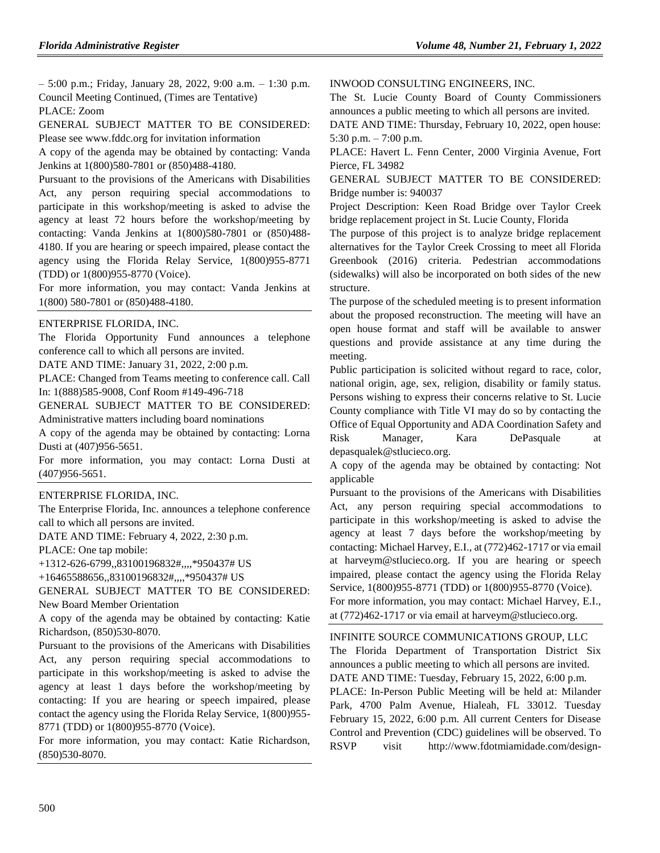– 5:00 p.m.; Friday, January 28, 2022, 9:00 a.m. – 1:30 p.m. Council Meeting Continued, (Times are Tentative) PLACE: Zoom

GENERAL SUBJECT MATTER TO BE CONSIDERED: Please see www.fddc.org for invitation information

A copy of the agenda may be obtained by contacting: Vanda Jenkins at 1(800)580-7801 or (850)488-4180.

Pursuant to the provisions of the Americans with Disabilities Act, any person requiring special accommodations to participate in this workshop/meeting is asked to advise the agency at least 72 hours before the workshop/meeting by contacting: Vanda Jenkins at 1(800)580-7801 or (850)488- 4180. If you are hearing or speech impaired, please contact the agency using the Florida Relay Service, 1(800)955-8771 (TDD) or 1(800)955-8770 (Voice).

For more information, you may contact: Vanda Jenkins at 1(800) 580-7801 or (850)488-4180.

#### [ENTERPRISE FLORIDA, INC.](https://www.flrules.org/gateway/organization.asp?id=680)

The Florida Opportunity Fund announces a telephone conference call to which all persons are invited.

DATE AND TIME: January 31, 2022, 2:00 p.m.

PLACE: Changed from Teams meeting to conference call. Call In: 1(888)585-9008, Conf Room #149-496-718

GENERAL SUBJECT MATTER TO BE CONSIDERED: Administrative matters including board nominations

A copy of the agenda may be obtained by contacting: Lorna Dusti at (407)956-5651.

For more information, you may contact: Lorna Dusti at (407)956-5651.

#### [ENTERPRISE FLORIDA, INC.](https://www.flrules.org/gateway/organization.asp?id=680)

The Enterprise Florida, Inc. announces a telephone conference call to which all persons are invited.

DATE AND TIME: February 4, 2022, 2:30 p.m.

PLACE: One tap mobile:

+1312-626-6799,,83100196832#,,,,\*950437# US

+16465588656,,83100196832#,,,,\*950437# US

GENERAL SUBJECT MATTER TO BE CONSIDERED: New Board Member Orientation

A copy of the agenda may be obtained by contacting: Katie Richardson, (850)530-8070.

Pursuant to the provisions of the Americans with Disabilities Act, any person requiring special accommodations to participate in this workshop/meeting is asked to advise the agency at least 1 days before the workshop/meeting by contacting: If you are hearing or speech impaired, please contact the agency using the Florida Relay Service, 1(800)955- 8771 (TDD) or 1(800)955-8770 (Voice).

For more information, you may contact: Katie Richardson, (850)530-8070.

[INWOOD CONSULTING ENGINEERS, INC.](https://www.flrules.org/gateway/organization.asp?id=992)

The St. Lucie County Board of County Commissioners announces a public meeting to which all persons are invited.

DATE AND TIME: Thursday, February 10, 2022, open house: 5:30 p.m.  $-7:00$  p.m.

PLACE: Havert L. Fenn Center, 2000 Virginia Avenue, Fort Pierce, FL 34982

GENERAL SUBJECT MATTER TO BE CONSIDERED: Bridge number is: 940037

Project Description: Keen Road Bridge over Taylor Creek bridge replacement project in St. Lucie County, Florida

The purpose of this project is to analyze bridge replacement alternatives for the Taylor Creek Crossing to meet all Florida Greenbook (2016) criteria. Pedestrian accommodations (sidewalks) will also be incorporated on both sides of the new structure.

The purpose of the scheduled meeting is to present information about the proposed reconstruction. The meeting will have an open house format and staff will be available to answer questions and provide assistance at any time during the meeting.

Public participation is solicited without regard to race, color, national origin, age, sex, religion, disability or family status. Persons wishing to express their concerns relative to St. Lucie County compliance with Title VI may do so by contacting the Office of Equal Opportunity and ADA Coordination Safety and Risk Manager, Kara DePasquale at depasqualek@stlucieco.org.

A copy of the agenda may be obtained by contacting: Not applicable

Pursuant to the provisions of the Americans with Disabilities Act, any person requiring special accommodations to participate in this workshop/meeting is asked to advise the agency at least 7 days before the workshop/meeting by contacting: Michael Harvey, E.I., at (772)462-1717 or via email at harveym@stlucieco.org. If you are hearing or speech impaired, please contact the agency using the Florida Relay Service, 1(800)955-8771 (TDD) or 1(800)955-8770 (Voice). For more information, you may contact: Michael Harvey, E.I., at (772)462-1717 or via email at harveym@stlucieco.org.

[INFINITE SOURCE COMMUNICATIONS GROUP, LLC](https://www.flrules.org/gateway/organization.asp?id=1035) The Florida Department of Transportation District Six announces a public meeting to which all persons are invited. DATE AND TIME: Tuesday, February 15, 2022, 6:00 p.m. PLACE: In-Person Public Meeting will be held at: Milander Park, 4700 Palm Avenue, Hialeah, FL 33012. Tuesday February 15, 2022, 6:00 p.m. All current Centers for Disease Control and Prevention (CDC) guidelines will be observed. To RSVP visit http://www.fdotmiamidade.com/design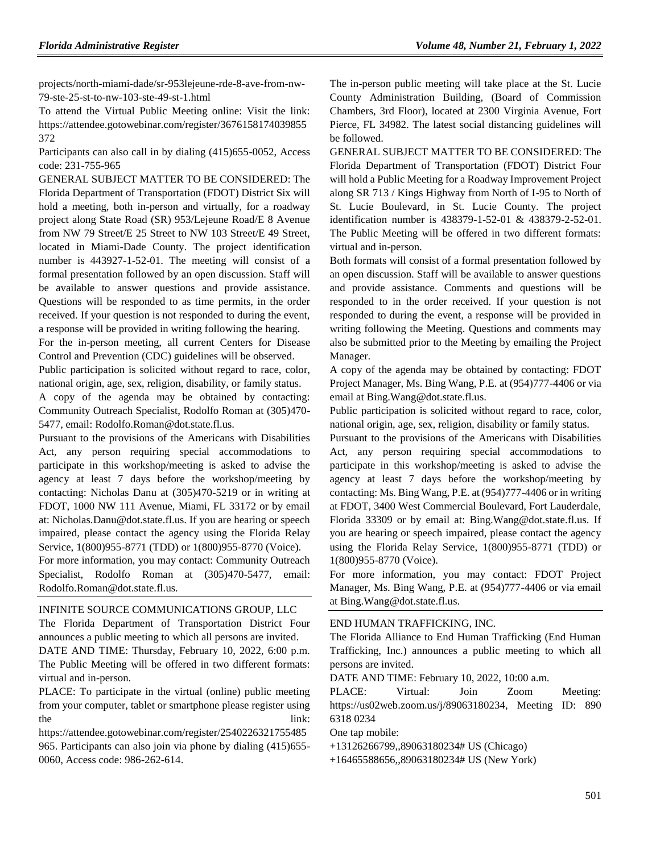projects/north-miami-dade/sr-953lejeune-rde-8-ave-from-nw-79-ste-25-st-to-nw-103-ste-49-st-1.html

To attend the Virtual Public Meeting online: Visit the link: https://attendee.gotowebinar.com/register/3676158174039855 372

Participants can also call in by dialing (415)655-0052, Access code: 231-755-965

GENERAL SUBJECT MATTER TO BE CONSIDERED: The Florida Department of Transportation (FDOT) District Six will hold a meeting, both in-person and virtually, for a roadway project along State Road (SR) 953/Lejeune Road/E 8 Avenue from NW 79 Street/E 25 Street to NW 103 Street/E 49 Street, located in Miami-Dade County. The project identification number is 443927-1-52-01. The meeting will consist of a formal presentation followed by an open discussion. Staff will be available to answer questions and provide assistance. Questions will be responded to as time permits, in the order received. If your question is not responded to during the event, a response will be provided in writing following the hearing.

For the in-person meeting, all current Centers for Disease Control and Prevention (CDC) guidelines will be observed.

Public participation is solicited without regard to race, color, national origin, age, sex, religion, disability, or family status.

A copy of the agenda may be obtained by contacting: Community Outreach Specialist, Rodolfo Roman at (305)470- 5477, email: Rodolfo.Roman@dot.state.fl.us.

Pursuant to the provisions of the Americans with Disabilities Act, any person requiring special accommodations to participate in this workshop/meeting is asked to advise the agency at least 7 days before the workshop/meeting by contacting: Nicholas Danu at (305)470-5219 or in writing at FDOT, 1000 NW 111 Avenue, Miami, FL 33172 or by email at: Nicholas.Danu@dot.state.fl.us. If you are hearing or speech impaired, please contact the agency using the Florida Relay Service, 1(800)955-8771 (TDD) or 1(800)955-8770 (Voice). For more information, you may contact: Community Outreach Specialist, Rodolfo Roman at (305)470-5477, email: Rodolfo.Roman@dot.state.fl.us.

#### [INFINITE SOURCE COMMUNICATIONS GROUP, LLC](https://www.flrules.org/gateway/organization.asp?id=1035)

The Florida Department of Transportation District Four announces a public meeting to which all persons are invited. DATE AND TIME: Thursday, February 10, 2022, 6:00 p.m. The Public Meeting will be offered in two different formats: virtual and in-person.

PLACE: To participate in the virtual (online) public meeting from your computer, tablet or smartphone please register using the link:

https://attendee.gotowebinar.com/register/2540226321755485 965. Participants can also join via phone by dialing (415)655- 0060, Access code: 986-262-614.

The in-person public meeting will take place at the St. Lucie County Administration Building, (Board of Commission Chambers, 3rd Floor), located at 2300 Virginia Avenue, Fort Pierce, FL 34982. The latest social distancing guidelines will be followed.

GENERAL SUBJECT MATTER TO BE CONSIDERED: The Florida Department of Transportation (FDOT) District Four will hold a Public Meeting for a Roadway Improvement Project along SR 713 / Kings Highway from North of I-95 to North of St. Lucie Boulevard, in St. Lucie County. The project identification number is 438379-1-52-01 & 438379-2-52-01. The Public Meeting will be offered in two different formats: virtual and in-person.

Both formats will consist of a formal presentation followed by an open discussion. Staff will be available to answer questions and provide assistance. Comments and questions will be responded to in the order received. If your question is not responded to during the event, a response will be provided in writing following the Meeting. Questions and comments may also be submitted prior to the Meeting by emailing the Project Manager.

A copy of the agenda may be obtained by contacting: FDOT Project Manager, Ms. Bing Wang, P.E. at (954)777-4406 or via email at Bing.Wang@dot.state.fl.us.

Public participation is solicited without regard to race, color, national origin, age, sex, religion, disability or family status.

Pursuant to the provisions of the Americans with Disabilities Act, any person requiring special accommodations to participate in this workshop/meeting is asked to advise the agency at least 7 days before the workshop/meeting by contacting: Ms. Bing Wang, P.E. at (954)777-4406 or in writing at FDOT, 3400 West Commercial Boulevard, Fort Lauderdale, Florida 33309 or by email at: Bing.Wang@dot.state.fl.us. If you are hearing or speech impaired, please contact the agency using the Florida Relay Service, 1(800)955-8771 (TDD) or 1(800)955-8770 (Voice).

For more information, you may contact: FDOT Project Manager, Ms. Bing Wang, P.E. at (954)777-4406 or via email at Bing.Wang@dot.state.fl.us.

#### [END HUMAN TRAFFICKING, INC.](https://www.flrules.org/gateway/organization.asp?id=1381)

The Florida Alliance to End Human Trafficking (End Human Trafficking, Inc.) announces a public meeting to which all persons are invited.

DATE AND TIME: February 10, 2022, 10:00 a.m.

PLACE: Virtual: Join Zoom Meeting: https://us02web.zoom.us/j/89063180234, Meeting ID: 890 6318 0234

One tap mobile:

+13126266799,,89063180234# US (Chicago)

+16465588656,,89063180234# US (New York)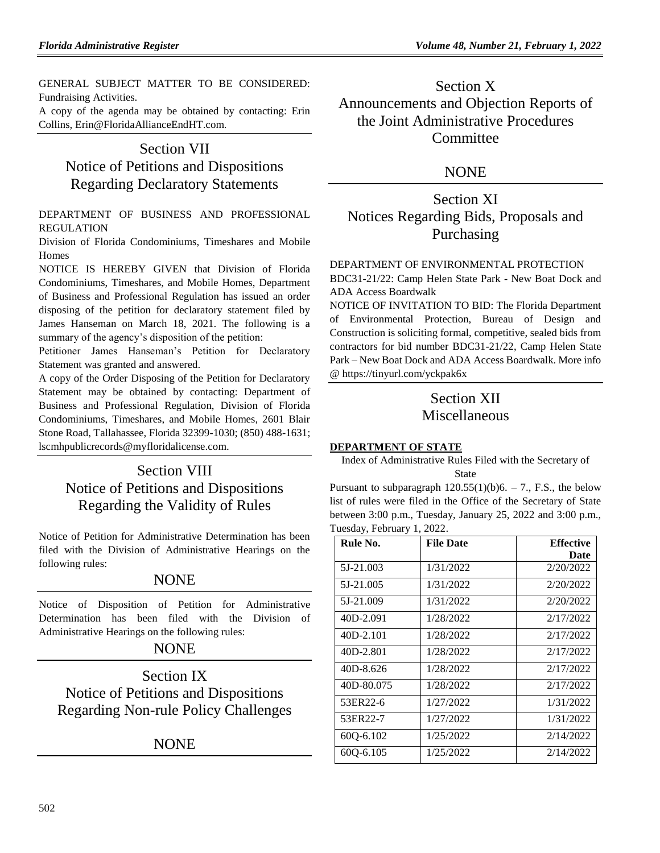GENERAL SUBJECT MATTER TO BE CONSIDERED: Fundraising Activities.

A copy of the agenda may be obtained by contacting: Erin Collins, Erin@FloridaAllianceEndHT.com.

# Section VII Notice of Petitions and Dispositions Regarding Declaratory Statements

[DEPARTMENT OF BUSINESS AND PROFESSIONAL](https://www.flrules.org/gateway/department.asp?id=61)  [REGULATION](https://www.flrules.org/gateway/department.asp?id=61)

[Division of Florida Condominiums, Timeshares and Mobile](https://www.flrules.org/gateway/organization.asp?id=248)  [Homes](https://www.flrules.org/gateway/organization.asp?id=248)

NOTICE IS HEREBY GIVEN that Division of Florida Condominiums, Timeshares, and Mobile Homes, Department of Business and Professional Regulation has issued an order disposing of the petition for declaratory statement filed by James Hanseman on March 18, 2021. The following is a summary of the agency's disposition of the petition:

Petitioner James Hanseman's Petition for Declaratory Statement was granted and answered.

A copy of the Order Disposing of the Petition for Declaratory Statement may be obtained by contacting: Department of Business and Professional Regulation, Division of Florida Condominiums, Timeshares, and Mobile Homes, 2601 Blair Stone Road, Tallahassee, Florida 32399-1030; (850) 488-1631; lscmhpublicrecords@myfloridalicense.com.

# Section VIII Notice of Petitions and Dispositions Regarding the Validity of Rules

Notice of Petition for Administrative Determination has been filed with the Division of Administrative Hearings on the following rules:

# **NONE**

Notice of Disposition of Petition for Administrative Determination has been filed with the Division of Administrative Hearings on the following rules:

# NONE

Section IX Notice of Petitions and Dispositions Regarding Non-rule Policy Challenges

NONE

# Section X Announcements and Objection Reports of the Joint Administrative Procedures **Committee**

# NONE

# Section XI Notices Regarding Bids, Proposals and Purchasing

[DEPARTMENT OF ENVIRONMENTAL PROTECTION](https://www.flrules.org/gateway/department.asp?id=62)

BDC31-21/22: Camp Helen State Park - New Boat Dock and ADA Access Boardwalk

NOTICE OF INVITATION TO BID: The Florida Department of Environmental Protection, Bureau of Design and Construction is soliciting formal, competitive, sealed bids from contractors for bid number BDC31-21/22, Camp Helen State Park – New Boat Dock and ADA Access Boardwalk. More info [@ https://tinyurl.com/yckpak6x](https://tinyurl.com/yckpak6x)

# Section XII Miscellaneous

# **[DEPARTMENT OF STATE](https://www.flrules.org/gateway/department.asp?id=1)**

Index of Administrative Rules Filed with the Secretary of State

Pursuant to subparagraph  $120.55(1)(b)6. - 7$ ., F.S., the below list of rules were filed in the Office of the Secretary of State between 3:00 p.m., Tuesday, January 25, 2022 and 3:00 p.m., Tuesday, February 1, 2022.

| Rule No.   | <b>File Date</b> | <b>Effective</b> |
|------------|------------------|------------------|
|            |                  | Date             |
| 5J-21.003  | 1/31/2022        | 2/20/2022        |
| 5J-21.005  | 1/31/2022        | 2/20/2022        |
| 5J-21.009  | 1/31/2022        | 2/20/2022        |
| 40D-2.091  | 1/28/2022        | 2/17/2022        |
| 40D-2.101  | 1/28/2022        | 2/17/2022        |
| 40D-2.801  | 1/28/2022        | 2/17/2022        |
| 40D-8.626  | 1/28/2022        | 2/17/2022        |
| 40D-80.075 | 1/28/2022        | 2/17/2022        |
| 53ER22-6   | 1/27/2022        | 1/31/2022        |
| 53ER22-7   | 1/27/2022        | 1/31/2022        |
| 600-6.102  | 1/25/2022        | 2/14/2022        |
| 600-6.105  | 1/25/2022        | 2/14/2022        |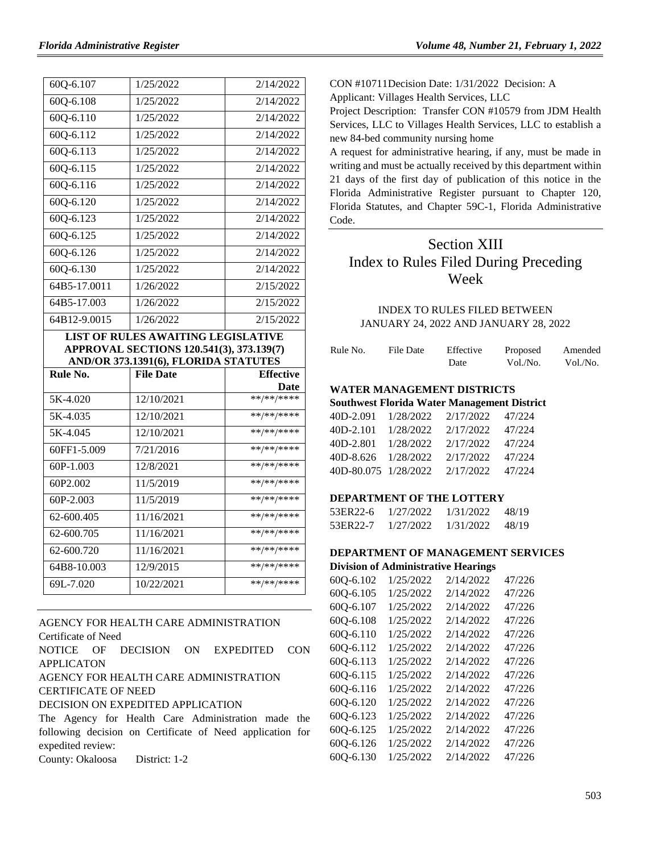| 60Q-6.107     | 1/25/2022                                                | 2/14/2022          |
|---------------|----------------------------------------------------------|--------------------|
| $60Q - 6.108$ | 1/25/2022                                                | 2/14/2022          |
| 60Q-6.110     | 1/25/2022                                                | 2/14/2022          |
| $60Q - 6.112$ | 1/25/2022                                                | 2/14/2022          |
| 60Q-6.113     | 1/25/2022                                                | 2/14/2022          |
| $60Q - 6.115$ | 1/25/2022                                                | 2/14/2022          |
| 60Q-6.116     | 1/25/2022                                                | 2/14/2022          |
| 60Q-6.120     | 1/25/2022                                                | 2/14/2022          |
| 60Q-6.123     | 1/25/2022                                                | 2/14/2022          |
| 600-6.125     | 1/25/2022                                                | 2/14/2022          |
| 60Q-6.126     | 1/25/2022                                                | 2/14/2022          |
| 600-6.130     | 1/25/2022                                                | 2/14/2022          |
| 64B5-17.0011  | 1/26/2022                                                | 2/15/2022          |
| 64B5-17.003   | 1/26/2022                                                | 2/15/2022          |
|               |                                                          |                    |
| 64B12-9.0015  | 1/26/2022                                                | 2/15/2022          |
|               |                                                          |                    |
|               | <b>LIST OF RULES AWAITING LEGISLATIVE</b>                |                    |
|               | APPROVAL SECTIONS 120.541(3), 373.139(7)                 |                    |
|               | AND/OR 373.1391(6), FLORIDA STATUTES<br><b>File Date</b> | <b>Effective</b>   |
| Rule No.      |                                                          |                    |
| 5K-4.020      | 12/10/2021                                               | Date<br>**/**/**** |
| 5K-4.035      | 12/10/2021                                               | **/**/****         |
| 5K-4.045      | 12/10/2021                                               | **/**/****         |
| 60FF1-5.009   | 7/21/2016                                                | **/**/****         |
| 60P-1.003     | 12/8/2021                                                | **/**/****         |
| 60P2.002      | 11/5/2019                                                | **/**/****         |
| 60P-2.003     | 11/5/2019                                                | **/**/****         |
| 62-600.405    | 11/16/2021                                               | **/**/****         |
| 62-600.705    | 11/16/2021                                               | **/**/****         |
| 62-600.720    | 11/16/2021                                               | **/**/****         |
| 64B8-10.003   | 12/9/2015                                                | **/**/****         |

# [AGENCY FOR HEALTH CARE ADMINISTRATION](https://www.flrules.org/gateway/department.asp?id=59) [Certificate of Need](https://www.flrules.org/gateway/organization.asp?id=188)

NOTICE OF DECISION ON EXPEDITED CON APPLICATON

## AGENCY FOR HEALTH CARE ADMINISTRATION CERTIFICATE OF NEED

#### DECISION ON EXPEDITED APPLICATION

The Agency for Health Care Administration made the following decision on Certificate of Need application for expedited review:

County: Okaloosa District: 1-2

CON #10711Decision Date: 1/31/2022 Decision: A

Applicant: Villages Health Services, LLC

Project Description: Transfer CON #10579 from JDM Health Services, LLC to Villages Health Services, LLC to establish a new 84-bed community nursing home

A request for administrative hearing, if any, must be made in writing and must be actually received by this department within 21 days of the first day of publication of this notice in the Florida Administrative Register pursuant to Chapter 120, Florida Statutes, and Chapter 59C-1, Florida Administrative Code.

# Section XIII Index to Rules Filed During Preceding Week

## INDEX TO RULES FILED BETWEEN JANUARY 24, 2022 AND JANUARY 28, 2022

| Rule No. | File Date | Effective | Proposed | Amended  |
|----------|-----------|-----------|----------|----------|
|          |           | Date      | Vol./No. | Vol./No. |

# **WATER MANAGEMENT DISTRICTS**

### **Southwest Florida Water Management District**

| 40D-2.091            | 1/28/2022 | 2/17/2022 | 47/224 |
|----------------------|-----------|-----------|--------|
| 40D-2.101            | 1/28/2022 | 2/17/2022 | 47/224 |
| 40D-2.801            | 1/28/2022 | 2/17/2022 | 47/224 |
| 40D-8.626 1/28/2022  |           | 2/17/2022 | 47/224 |
| 40D-80.075 1/28/2022 |           | 2/17/2022 | 47/224 |
|                      |           |           |        |

## **DEPARTMENT OF THE LOTTERY**

| 53ER22-6 | 1/27/2022 | 1/31/2022 | 48/19 |
|----------|-----------|-----------|-------|
| 53ER22-7 | 1/27/2022 | 1/31/2022 | 48/19 |

#### **DEPARTMENT OF MANAGEMENT SERVICES Division of Administrative Hearings**

|           |           | Division of Administrative Hearings |        |
|-----------|-----------|-------------------------------------|--------|
| 60Q-6.102 | 1/25/2022 | 2/14/2022                           | 47/226 |
| 60Q-6.105 | 1/25/2022 | 2/14/2022                           | 47/226 |
| 60Q-6.107 | 1/25/2022 | 2/14/2022                           | 47/226 |
| 60Q-6.108 | 1/25/2022 | 2/14/2022                           | 47/226 |
| 60Q-6.110 | 1/25/2022 | 2/14/2022                           | 47/226 |
| 60Q-6.112 | 1/25/2022 | 2/14/2022                           | 47/226 |
| 60Q-6.113 | 1/25/2022 | 2/14/2022                           | 47/226 |
| 60Q-6.115 | 1/25/2022 | 2/14/2022                           | 47/226 |
| 60Q-6.116 | 1/25/2022 | 2/14/2022                           | 47/226 |
| 60Q-6.120 | 1/25/2022 | 2/14/2022                           | 47/226 |
| 60Q-6.123 | 1/25/2022 | 2/14/2022                           | 47/226 |
| 60Q-6.125 | 1/25/2022 | 2/14/2022                           | 47/226 |
| 60Q-6.126 | 1/25/2022 | 2/14/2022                           | 47/226 |
| 60Q-6.130 | 1/25/2022 | 2/14/2022                           | 47/226 |